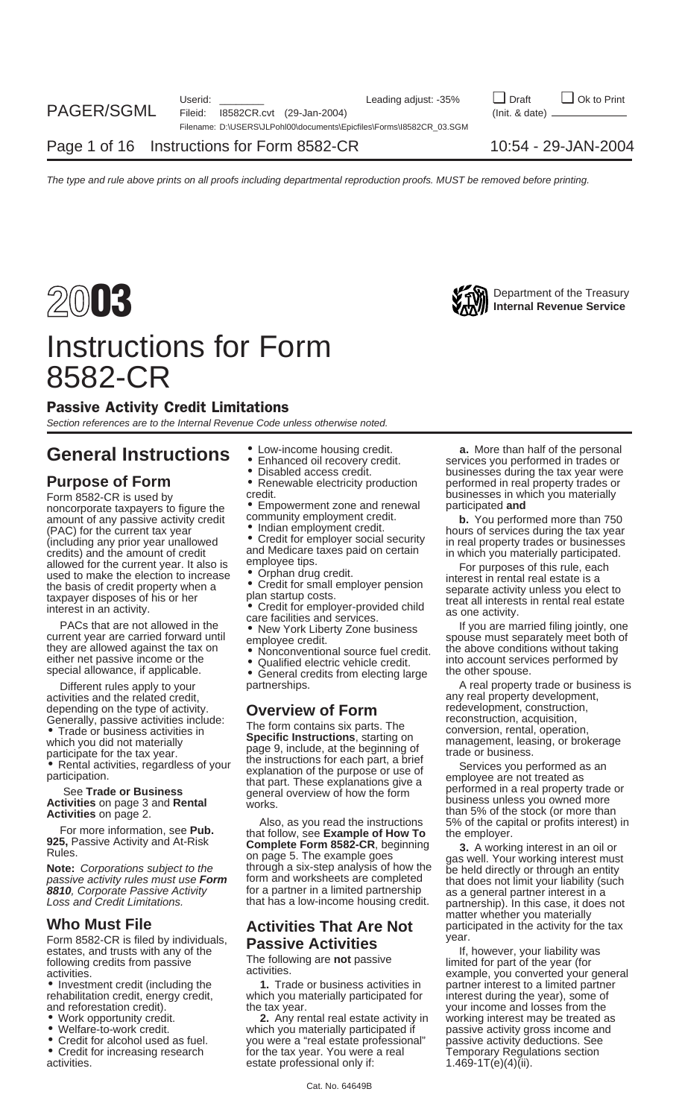

## Instructions for Form 8582-CR

### Passive Activity Credit Limitations

Section references are to the Internal Revenue Code unless otherwise noted.

## **General Instructions**  $\bullet$  Low-income housing credit. **a.** More than half of the personal **services** you performed in trades or

noncorporate taxpayers to figure the **•** Empowerment zone and renewal amount of any passive activity credit community employment credit. amount of any passive activity credit community employment credit.<br>
(PAC) for the current tax year **b.** You performed more than 750 **•** Indian employment credit.<br>
(including any prior year unallowed • Credit for employer s (including any prior year unallowed Credit for employer social security in real property trades or businesses<br>credits) and the amount of credit and Medicare taxes paid on certain in which you materially participated. allowed for the current year. It also is<br>
used to make the election to increase<br>
the basis of credit property when a<br>
taxpayer disposes of his or her plan startup costs.<br>
taxpayer disposes of his or her the state is a<br>
tax

Example of the contract of the contract of the contract of the contract of the contract of the contract of the contract of the contract of the contract of the contract of the contract of the contract of the current year ar our current year are carried forward until employee credit.<br>
they are allowed against the tax on **•** Nonconventional source fuel credit. Ithe above conditions without taking<br>
either net passive income or the **•** Qualified special allowance, if applicable.<br>Different rules apply to your partnerships.<br>A real property

activities and the related credit,<br>
depending on the type of activity. **Contract on the Contract of Form** any redevelopment, construction, depending on the type of activity. **Overview of Form** redevelopment, constructic<br>Generally, passive activities include: The construction, acquisition,

Form 8582-CR is filed by individuals, **Passive Activities** estates, and trusts with any of the If, however, your liability was following credits from passive The following are **not** passive limited for part of the year (for activities activities activities example you converted your or

- 
- 
- 
- activities. estate professional only if:
- -
	-
	-

- 
- and Medicare taxes paid on certain in which you materially participated.<br>
employee tips. For numeroes of this rule oneb
- 

- 
- 
- 

• Trade of business activities in<br>
which you did not materially<br>
participate for the tax year.<br>
• Rental activities, regardless of your<br>
participation of the purpose or use of<br>
participation.<br>
See Trade or Business<br>
See Tr

**Activities on page 2.**<br> **Activities on page 2.**<br> **Also, as you read the instructions** 5% of the stock (or more than<br> **925,** Passive Activity and At-Risk<br> **Solution** and the instructions on page 5. The example of How To<br>

• Investment credit (including the **1.** Trade or business activities in partner interest to a limited partner rehabilitation credit, energy credit, which you materially participated for interest during the year), some of and reforestation credit).<br>
The tax year. The state of the vear and losses from the the tax year. The tax year. The tax year. The tax year.

• Work opportunity credit. **2.** Any rental real estate activity in working interest may be treated as which you materially participated if sthe passive activity gross income and<br>you were a "real estate professional" spassive activity deductions. See • Credit for alcohol used as fuel. you were a "real estate professional" passive activity deductions. See<br>• Credit for increasing research for the tax year. You were a real Temporary Regulations section for the tax year. You were a real Temporary Regulations restance a real Temporary Regulations state professional only if:

• Enhanced oil recovery credit. Services you performed in trades or<br>• Disabled access credit. Subsinesses during the tax year were **Purpose of Form** • Renewable electricity production performed in real property trades or<br>Form 8582-CB is used by **really** credit. **Purpose of purpose of property trades or** pusinesses in which you materially Form 8582-CR is used by credit.<br>noncorporate taxpavers to figure the  $\bullet$  Empowerment zone and renewal participated and

Different rules apply to your partnerships. A real property trade or business is Generally, passive activities include:<br>
• Trade or business activities in France or Specific Instructions, starting on which you did not materially<br>
which you did not materially **Specific Instructions**, starting on managem

**Who Must File Activities That Are Not** matter whether you materially<br>**Form 8582-CR is filed by individuals Regalize Activities Activities** year.

activities. example, you converted your general activities. The state of the example, you converted your general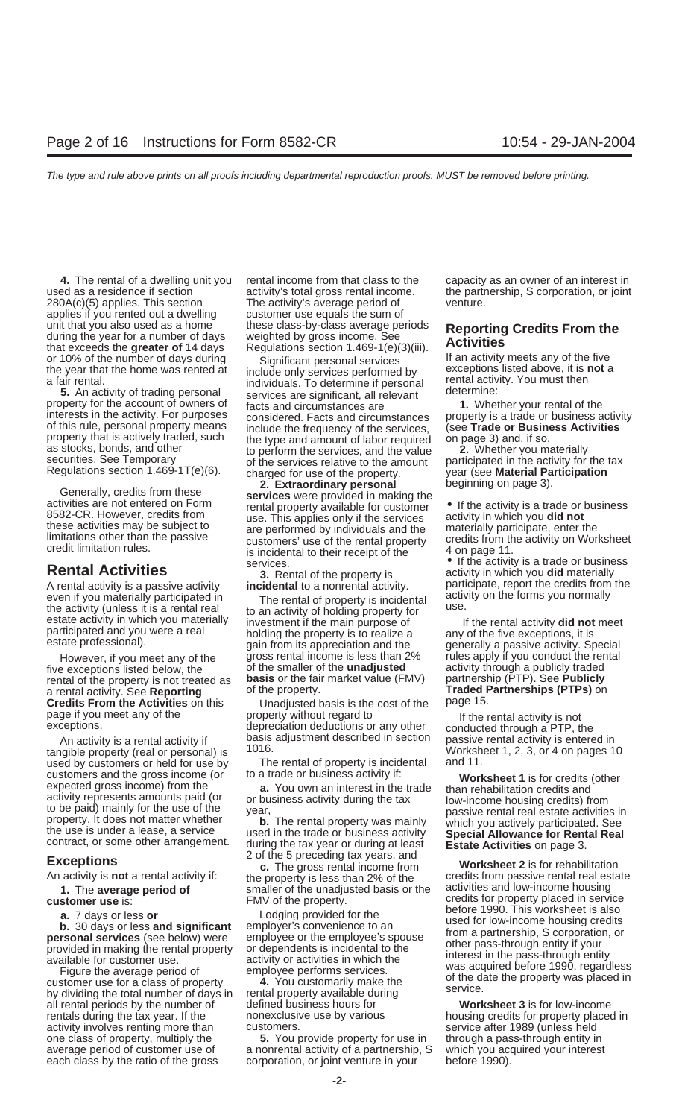applies if you rented out a dwelling customer use equals the sum of unit that you also used as a home these class-by-class average periods<br>during the year for a number of days weighted by gross income. See<br>that exceeds the **greater of** 14 days Regulations section 1.469-1(e)(3)(iii). **Acti** 

A rental activity is a passive activity **incidental** to a nonrental activity. participate, report the credits from the even if you materially participated in The rental of property is incidental activity on the torms you normally<br>the activity (unless it is a rental real to an activity of holding property for<br>estate activity in which you ma

five exceptions listed below, the of the smaller of the **unadjusted** activity through a publicly traded rental of the property is not treated as **basis** or the fair market value (FMV) partnership (PTP). See **Publicly** rental of the property is not treated as **basis** or the fair market value (FMV) partnership (PTP). See **Publicity**<br>a rental activity. See **Reporting** of the property. **Traded Partnerships (PTPs)** on<br>**Credits From the Activ** 

tangible property (real or personal) is  $\frac{1016}{\pi}$  and the rental of property is incidental and 11. customers and the gross income (or to a trade or business activity if:<br>expected gross income) from the<br>activity represents amounts paid (or<br>to be paid) mainly for the use of the<br>particle of the search contract, or some oth

all rental periods by the number of defined business hours for **Worksheet 3** is for low-income rentals during the tax year. If the honexclusive use by various housing credits for property placed in activity involves renting more than customers.<br>
one class of property, multiply the **5.** You provide property for use in through a pass-through entity in

**4.** The rental of a dwelling unit you rental income from that class to the capacity as an owner of an interest in used as a residence if section activity's total gross rental income. the partnership, S corporation, or joint 280A(c)(5) applies. This section The activity's average period of venture.

or 10% of the number of days during<br>the year that the home was rented at<br>a fair rental.<br>**5.** An activity of trading personal<br>property for the account of owners of<br>individuals. To determine if personal<br>property for the acco property that is actively traded, such the type and amount of labor required on page 3) and, if so,<br>as stocks, bonds, and other to perform the services, and the value securities. See Temporary of the services relative to t

Generally, credits from these **2. Extraordinary personal** beginning on page 3).<br>
activities are not entered on Form **services** were provided in making the<br>
8582-CR. However, credits from use. This applies only if the ser these activities may be subject to<br>limitations other than the passive<br>credit limitation rules.<br>credit limitation rules.<br>is incidental to their receipt of the<br>is incidental to their receipt of the<br>4 on page 11.

participated and you were a real holding the property is to realize a any of the five exceptions, it is estate professional).<br>
estate professional). Estate professionally a passive activity. Special However, if you meet any of the gross rental income is less than 2% rules apply if you conduct the rental rental<br>e exceptions listed below, the of the smaller of the **unadjusted** activity through a publicly traded

Credits From the Activities on this Unadjusted basis is the cost of the page 15.<br>
page if you meet any of the property without regard to life rental activity is not depreciation deductions or any other conducted through a

The rental of property is incidental to a trade or business activity if:

**1.** The **average period of** smaller of the unadjusted basis or the **customer use** is: **FMV** of the property.

**5.** You provide property for use in average period of customer use of a nonrental activity of a partnership, S which you acquired your interest each class by the ratio of the gross corporation, or joint venture in your before 1990). each class by the ratio of the gross corporation, or joint venture in your before 1990).

Frequent immedion rules.<br> **Rental Activities** is incidental to their receipt of the the activity is a trade or business<br> **Rental Activities 3.** Rental of the property is activity in which you **did** materially<br>
A rental a

depreciation deductions or any other conducted through a PTP, the<br>An activity is a rental activity if basis adjustment described in section passive rental activity is entered in<br>Worksheet 1, 2, 3, or 4 on pages 10

**EXCEPTIONS**<br>An activity is **not** a rental activity if: the property is less than 2% of the credits from passive rental real estate<br>1. The average period of smaller of the unadiusted basis or the activities and low-income credits for property placed in service<br>before 1990. This worksheet is also **a.** 7 days or less **or**<br> **b.** 30 days or less **and significant**<br> **b.** 30 days or less **and significant**<br> **employer's** convenience to an<br> **personal services** (see below) were<br>
provided in making the rental property<br>
or dep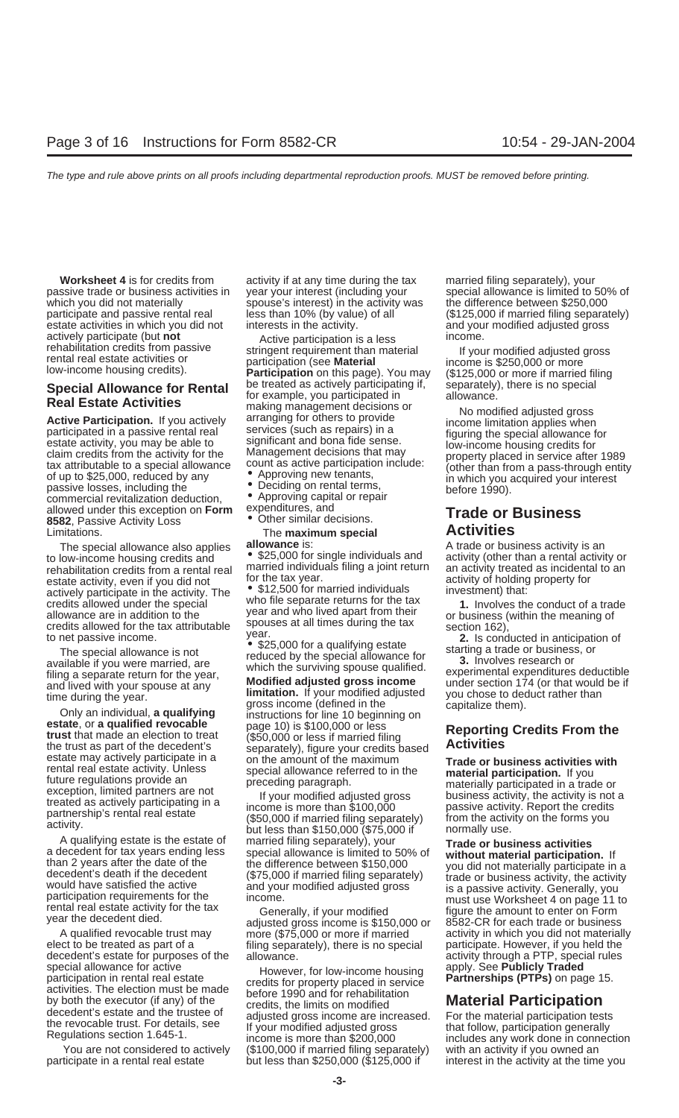passive trade or business activities in year your interest (including your special allowance is limited to 50% of which you did not materially spouse's interest) in the activity was the difference between \$250,000<br>participate and passive rental real less than 10% (by value) of all (\$125,000 if married filing separa participate and passive rental real less than 10% (by value) of all  $\sim$  (\$125,000 if married filing separately) estate activities in which you did not interests in the activity. The same and your modified adjusted gross actively participate (but **not** Active participation is a less income.<br>
rehabilitation credits from passive **incometring and the material** is the relatively

Form allowed under this exception on **Form** expenditures, and<br> **8582**, Passive Activity Loss **COLOGIC CONCERT EXPERIMENT CONCERT CONCERT EXPERIMENT CONCERT CONCERT CONCERT CONCERT<br>
Limitations. The maximum special <b>Activit** Limitations. **Activity Activity Contractivity Activities Activities Activities Activities Activities Activities Activities Activities Activities Activities Activities Activities Activities A** 

to low-income housing credits and • \$25,000 for single individuals and activity (other than a rental activity or<br>rehabilitation credits from a rental real married individuals filing a joint return an activity treated as in rehabilitation credits from a rental real married individual<br>estate activity even if you did not for the tax year. estate activity, even if you did not for the tax year.<br>actively participate in the activity. The  $\bullet$  \$12,500 for married individuals investment) that:

decedent's estate for purposes of the allowance.<br>special allowance for active and the decomposition apply. See **Publicly Traded** 

participate in a rental real estate but less than \$250,000 (\$125,000 if interest in the activity at the time you

**Worksheet 4** is for credits from activity if at any time during the tax married filing separately), your

renabilitation credits from passive stringent requirement than material if your modified adjusted gross<br>
rental real estate activities or participation (see **Material** income is \$250,000 or more<br>
low-income housing credits Special Allowance for Rental<br>
Real Estate Activities<br>
Active Participation. If you actively arranging for cherate to eisince and the commel of the sample and allowance.<br>
Active Participation. If you actively arranging for

- 
- 
- 
- 

exake actively participate in the activity. The the activity. The space are an and the space of the space of the space of the space of the tax attributable space in the space and who flived apart from their credits allowan

filing separately), there is no special

special allowance for active<br>participation in rental real estate credits for property placed in service activities. The election must be made<br>by both the executor (if any) of the credits, the limits on modified<br>decedent's You are not considered to actively (\$100,000 if married filing separately) with an activity if you owned an

The special allowance also applies and **allowance** is: A trade or business activity is an and activity or an older<br>In activity (other than a rental activity or

estate may actively participate in a<br>
rental real estate activity. Unless<br>
future regulations provide an<br>
exception, limited partners are not<br>
reated as actively participating in a<br>
partnership's rental real estate<br>
activi

A qualifying estate is the estate of married filing separately), your<br>
a decedent for tax years ending less special allowance is limited to 50% of **Trade or business activities**<br>
than 2 years after the date of the differen A qualified revocable trust may adjusted gross income is \$150,000 or and activity in which you did not materially<br>A qualified revocable trust may more (\$75,000 or more if married activity in which you did not materially<br>el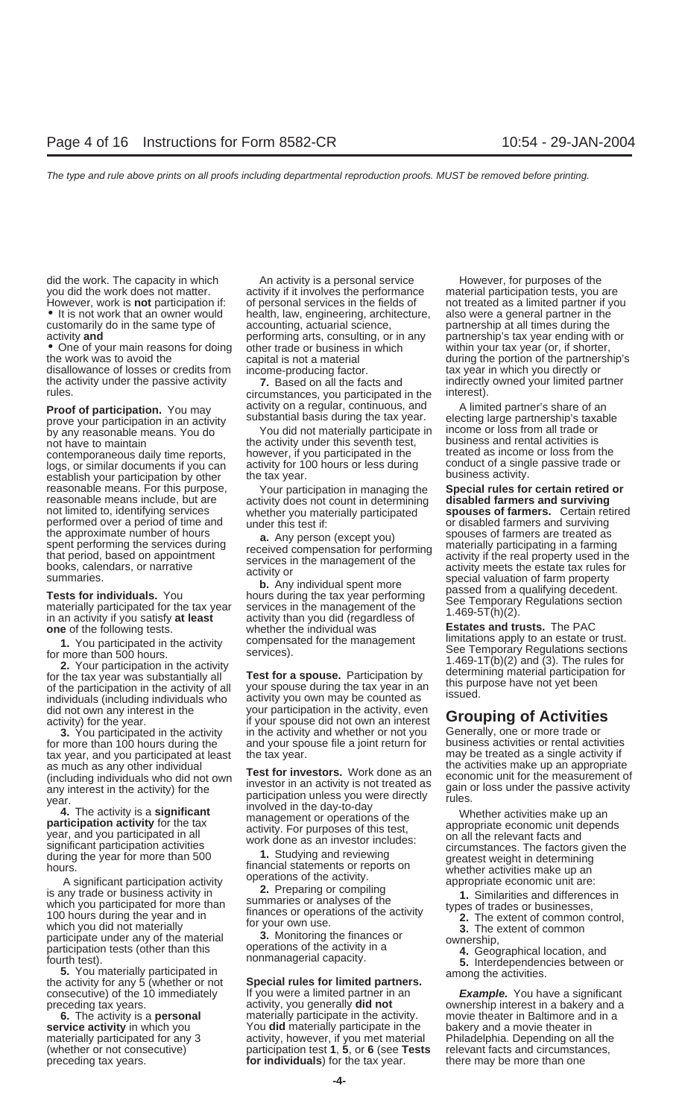the work was to avoid the during the portion of the partnership's capital is not a material during the portion of the partnership's disallowance of losses or credits from income-producing factor.<br>
the activity under the passive activity **7.** Based on all the facts and indirectly owned your limited partner<br>
rules.<br>
circumstances you participated in the

prove your participation in an activity substantial basis during the tax year. electing large partnership's taxa<br>by any reasonable means. You do You did not materially participate in income or loss from all trade or logs, or similar documents if you can activity for 100 hours or less during conduct of a single passive trade or<br>establish your participation by other the tax year.<br>reasonable means. For this purpose, Your participation in reasonable means. For this purpose, Your participation in managing the **Special rules for certain retired** reasonable means include, but are activity does not count in determining **disabled farmers and surviving** performed over a period of time and under this test if: or disabled farmers and surviving<br>the approximate number of hours and a convincement is a control of the spouses of farmers are treated as

individuals (including individuals who activity you own may be counted as<br>did not own any interest in the your participation in the activity, even<br>activity) for the year.

for more than 100 hours during the and your spouse file a joint return for business activities or rental activities<br>tax year, and you participated at least the tax year. tax year, and you participated at least the tax year.<br>
as much as any other individual  $\begin{matrix} - & - & - \end{matrix}$  as much as a single activities make up an appropriate

which you participated for more than<br>
100 hours during the year and in the finances or operations of the the types of trades or businesses,<br>
the extent of common control,<br>
which you did not materially tor your own use.<br>
Ma participate under any of the material **3.** Monitoring the finances or participate under any of the material operations of the activity in a<br>participation tests (other than this operations of the activity in a<br>fourth test).

the activity for any 5 (whether or not **Special rules for limited partners.**<br>
consecutive) of the 10 immediately If you were a limited partner in an **Example.** You have a significant

did the work. The capacity in which  $\blacksquare$  An activity is a personal service However, for purposes of the you did the work does not matter. exactivity if it involves the performance material participation tests, you are However, work is **not** participation if: of personal services in the fields of not treated as a limited partner if you<br>It is not work that an owner would health, law, engineering, architecture, also were a general partner accounting, actuarial science, examed partnership at all times during the performing arts, consulting, or in any partnership's tax year ending with or activity **and** performing arts, consulting, or in any **•** One of your main reasons for doing other trade or business in which other trade or business in which within your tax year (or, if shorter,

circumstances, you participated in the **Proof of participation.** You may activity on a regular, continuous, and A limited partner's share of an prove your participation in an activity substantial basis during the tax year. electing large partnership's taxable

by any reasonable means. You do You did not materially participate in income or loss from all trade or<br>not have to maintain not have to maintain is the activity under this seventh test, business and rental activities is<br>contemporaneous daily time reports bowever, if you participated in the streated as income or loss from the contemporaneous daily time reports, however, if you participated in the freated as income or loss from the cont<br>logs, or similar documents if you can activity for 100 hours or less during conduct of a single passive trade

whether you materially participated **spouses of farmers.** Certain ret<br>under this test if: **provident** or disabled farmers and surviving

in an activity if you satisfy **at least** activity than you did (regardless of **Fig. 1999 of the following tests.**<br> **one** of the following tests. Whether the individual was **Estates and trusts.** The PAC<br> **Extates and trusts** 

If your spouse did not own an interest of **Activities**<br>activity) for the year.<br>**3.** You participated in the activity in the activity and whether or not you Generally, one or more trade or **3.** You participated in the activity in the activity and whether or not you Generally, one or more trade or more trade or more trade or more trade or more trade or  $\frac{1}{1}$  and your spouse file a joint return for busines

as much as any other individual<br>
(including individuals who did not own<br>
(including individuals who did not own<br>
investor in an activity is not treated as<br>
the activities make up an appropriate<br>
year.<br>
4. The activity is a

preceding tax years. **over any other contains in a bakery and a** activity, you generally **did not** a cownership interest in a bakery and a **6.** The activity is a **personal** materially participate in the activity. movie theater in Baltimore and in a **service activity** in which you **back**roop baterially participate in the bakery and a movie theater in materially participated for any 3 exactivity, however, if you met material Philadelphia. Depending on all the (whether or not consecutive) participation test 1, 5, or 6 (see Tests relevant facts and circumstances, preceding tax years. **for individuals**) for the tax year. there may be more than one

reasonable means include, but are activity does not count in determining **disabled farmers and surviving**<br>not limited to, identifying services whether you materially participated **spouses of farmers.** Certain retired the approximate number of hours<br>spent performing the services during<br>that period, based on appointment<br>books, calendars, or narrative<br>summaries.<br>**Tests for individuals.** You hours during the tax year performing<br>materially

1. You participated in the activity<br>for more than 500 hours.<br>
2. Your participation in the activity<br>
for the tax year was substantially all<br>
of the participation in the activity<br>
of the participation in the activity of all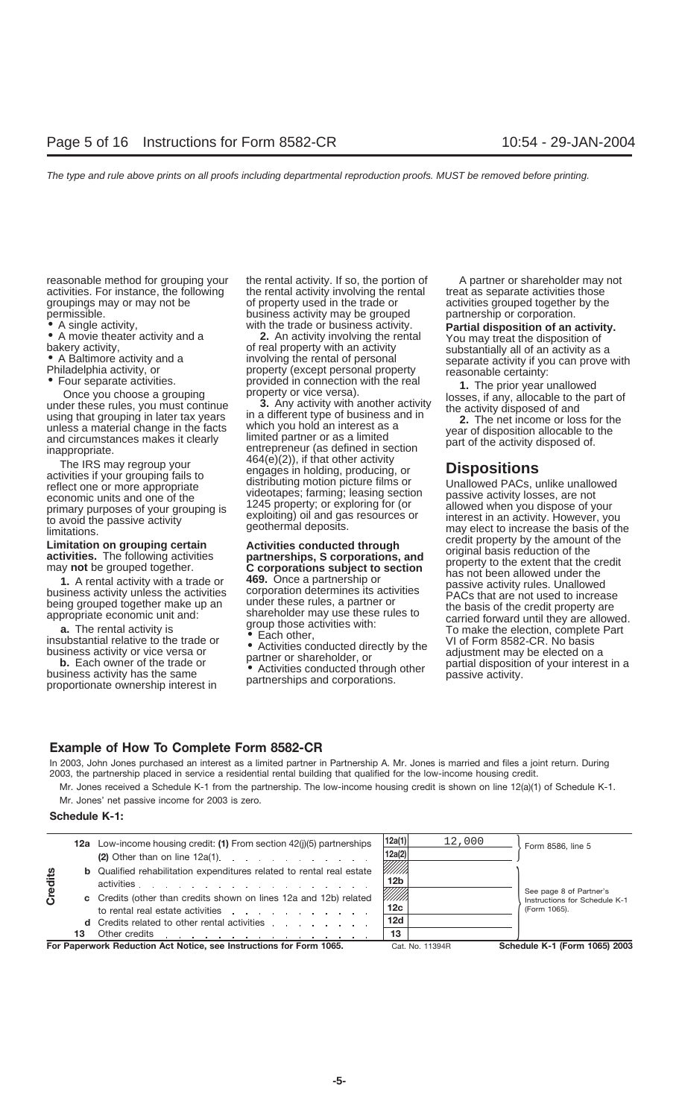reasonable method for grouping your the rental activity. If so, the portion of A partner or shareholder may not activities. For instance, the following the rental activity involving the rental treat as separate activities those<br>groupings may or may not be of property used in the trade or activities grouped together by the

of property used in the trade or activities grouped together by the permissible. business activity may be grouped partnership or corporation.<br>• A single activity, with the trade or business activity. **Partial disposition of an** 

• A single activity, with the trade or business activity.<br>
• A movie theater activity and a<br>
bakery activity, or the state of present of the state of present activity involving the rental of presonal<br>
• A movie theater act

unless a material change in the facts which you hold an interest as a<br>and circumstances makes it clearly limited partner or as a limited partner or as a limited partner or as a limited partner or as a limited partner or as inappropriate. entrepreneur (as defined in section<br>
The IRS may regroup your  $464(e)(2)$ , if that other activity<br>
activities if your grouping fails to<br>
reflect one or proced propriate activiting motion picture films or Unall reflect one or more appropriate distributing motion picture films or Unallowed PACs, unlike unallowed economic units and one of the videotapes; farming; leasing section passive activity losses, are not videotapes; farming; leasing section passive activity losses, are not<br>1245 property; or exploring for (or allowed when you dispose of your primary purposes of your grouping is 1245 property; or exploring for to allowed when you dispose of your exploiting) oil and gas resources or to avoid the passive activity interest in an activity. However, you dispose of y

- 
- 
- 

limitations.<br>
limitations on a reuning octoin and a chiulting conducted through the credit property by the amount of the **Limitation on grouping certain**<br> **Limitation on grouping certain**<br> **Activities conducted through credit property by the amount of the<br>
<b>activities.** The following activities<br> **Activities corporations, and** original basis

### **Example of How To Complete Form 8582-CR**

In 2003, John Jones purchased an interest as a limited partner in Partnership A. Mr. Jones is married and files a joint return. During 2003, the partnership placed in service a residential rental building that qualified for the low-income housing credit.

Mr. Jones received a Schedule K-1 from the partnership. The low-income housing credit is shown on line 12(a)(1) of Schedule K-1.

Mr. Jones' net passive income for 2003 is zero.

### **Schedule K-1:**

|                | 13 | to rental real estate activities expansion of the state of the state of the state of the state of the state of the state of the state of the state of the state of the state of the state of the state of the state of the sta<br>d Credits related to other rental activities<br>Other credits <u>.</u> | 12d<br>13                         | (Form 1065).                                             |
|----------------|----|----------------------------------------------------------------------------------------------------------------------------------------------------------------------------------------------------------------------------------------------------------------------------------------------------------|-----------------------------------|----------------------------------------------------------|
| <b>Credits</b> |    | activities<br>c Credits (other than credits shown on lines 12a and 12b) related                                                                                                                                                                                                                          | 12 <sub>b</sub><br>///////<br>12c | See page 8 of Partner's<br>Instructions for Schedule K-1 |
|                |    | <b>b</b> Qualified rehabilitation expenditures related to rental real estate                                                                                                                                                                                                                             | 12a(2)<br>///////                 |                                                          |
|                |    | 12a Low-income housing credit: (1) From section 42(i)(5) partnerships                                                                                                                                                                                                                                    | 12a(1)<br>12,000                  | Form 8586, line 5                                        |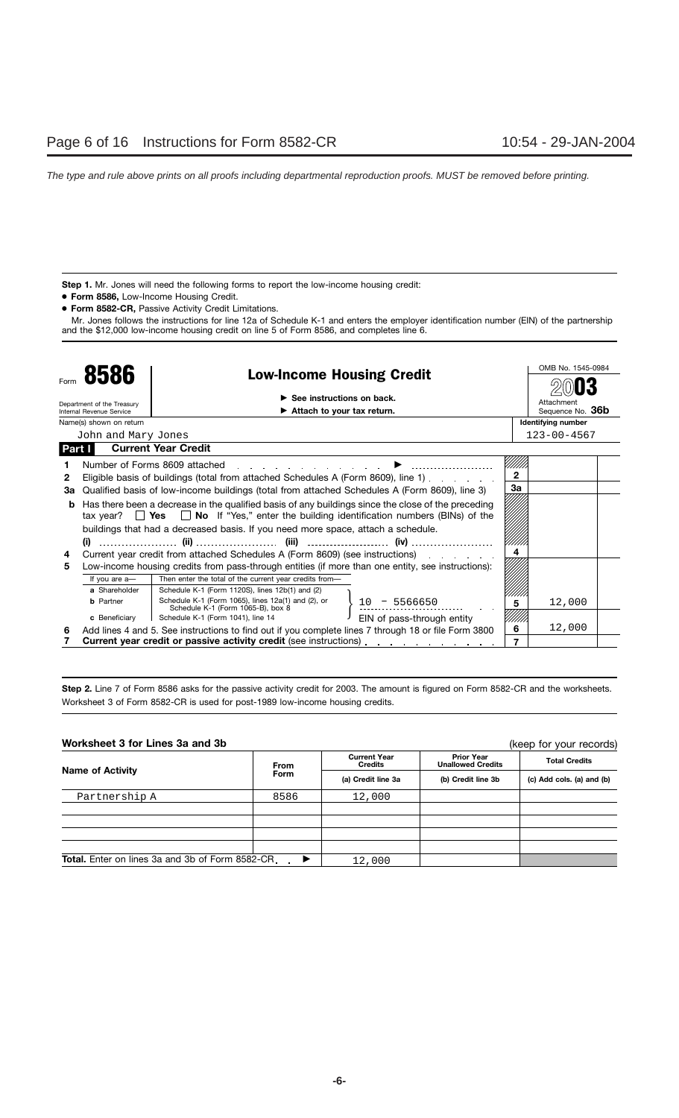**Step 1.** Mr. Jones will need the following forms to report the low-income housing credit:

- **Form 8586,** Low-Income Housing Credit.
- **Form 8582-CR,** Passive Activity Credit Limitations.

Mr. Jones follows the instructions for line 12a of Schedule K-1 and enters the employer identification number (EIN) of the partnership and the \$12,000 low-income housing credit on line 5 of Form 8586, and completes line 6.

|        |                                                                          |                                                                                                                                                                                                                                                                 |                            |              | OMB No. 1545-0984         |  |
|--------|--------------------------------------------------------------------------|-----------------------------------------------------------------------------------------------------------------------------------------------------------------------------------------------------------------------------------------------------------------|----------------------------|--------------|---------------------------|--|
|        | 8586                                                                     | <b>Low-Income Housing Credit</b>                                                                                                                                                                                                                                |                            |              |                           |  |
|        | Department of the Treasury                                               | $\blacktriangleright$ See instructions on back.                                                                                                                                                                                                                 |                            |              | Attachment                |  |
|        | Internal Revenue Service                                                 | $\blacktriangleright$ Attach to your tax return.                                                                                                                                                                                                                |                            |              | Sequence No. 36b          |  |
|        | Name(s) shown on return                                                  |                                                                                                                                                                                                                                                                 |                            |              | <b>Identifying number</b> |  |
|        | John and Mary Jones                                                      |                                                                                                                                                                                                                                                                 |                            |              | $123 - 00 - 4567$         |  |
| Part I |                                                                          | <b>Current Year Credit</b>                                                                                                                                                                                                                                      |                            |              |                           |  |
|        |                                                                          | Number of Forms 8609 attached<br>and the company of the company of the company of the company of the company of the company of the company of the company of the company of the company of the company of the company of the company of the company of the comp |                            |              |                           |  |
| 2      |                                                                          | Eligible basis of buildings (total from attached Schedules A (Form 8609), line 1).                                                                                                                                                                              |                            | $\mathbf{2}$ |                           |  |
| За     |                                                                          | Qualified basis of low-income buildings (total from attached Schedules A (Form 8609), line 3)                                                                                                                                                                   |                            | За           |                           |  |
| b      |                                                                          | Has there been a decrease in the qualified basis of any buildings since the close of the preceding                                                                                                                                                              |                            |              |                           |  |
|        |                                                                          | tax year? $\Box$ Yes $\Box$ No If "Yes," enter the building identification numbers (BINs) of the                                                                                                                                                                |                            |              |                           |  |
|        |                                                                          | buildings that had a decreased basis. If you need more space, attach a schedule.                                                                                                                                                                                |                            |              |                           |  |
|        | (i)                                                                      |                                                                                                                                                                                                                                                                 |                            |              |                           |  |
| 4      |                                                                          | Current year credit from attached Schedules A (Form 8609) (see instructions) enterchangle and the current set                                                                                                                                                   |                            |              |                           |  |
| 5      |                                                                          | Low-income housing credits from pass-through entities (if more than one entity, see instructions):                                                                                                                                                              |                            |              |                           |  |
|        | If you are a-                                                            | Then enter the total of the current year credits from-                                                                                                                                                                                                          |                            |              |                           |  |
|        | a Shareholder                                                            | Schedule K-1 (Form 1120S), lines 12b(1) and (2)                                                                                                                                                                                                                 |                            |              |                           |  |
|        | <b>b</b> Partner                                                         | Schedule K-1 (Form 1065), lines 12a(1) and (2), or<br>Schedule K-1 (Form 1065-B), box 8                                                                                                                                                                         | $10 - 5566650$             | 5            | 12,000                    |  |
|        | c Beneficiary                                                            | Schedule K-1 (Form 1041), line 14                                                                                                                                                                                                                               | EIN of pass-through entity |              |                           |  |
| 6      |                                                                          | Add lines 4 and 5. See instructions to find out if you complete lines 7 through 18 or file Form 3800                                                                                                                                                            |                            | 6            | 12,000                    |  |
|        | <b>Current year credit or passive activity credit</b> (see instructions) |                                                                                                                                                                                                                                                                 |                            |              |                           |  |

**Step 2.** Line 7 of Form 8586 asks for the passive activity credit for 2003. The amount is figured on Form 8582-CR and the worksheets. Worksheet 3 of Form 8582-CR is used for post-1989 low-income housing credits.

**Worksheet 3 for Lines 3a and 3b**

(keep for your records)

| <u>WULKSILGEL U TUL EIHES JA AHU JU</u><br>(Keep for your records)               |      |                                |                                               |                           |  |
|----------------------------------------------------------------------------------|------|--------------------------------|-----------------------------------------------|---------------------------|--|
| <b>Name of Activity</b>                                                          | From | <b>Current Year</b><br>Credits | <b>Prior Year</b><br><b>Unallowed Credits</b> | <b>Total Credits</b>      |  |
|                                                                                  | Form | (a) Credit line 3a             | (b) Credit line 3b                            | (c) Add cols. (a) and (b) |  |
| Partnership A                                                                    | 8586 | 12,000                         |                                               |                           |  |
|                                                                                  |      |                                |                                               |                           |  |
|                                                                                  |      |                                |                                               |                           |  |
|                                                                                  |      |                                |                                               |                           |  |
|                                                                                  |      |                                |                                               |                           |  |
| <b>Total.</b> Enter on lines 3a and 3b of Form 8582-CR.<br>$\blacktriangleright$ |      | 12,000                         |                                               |                           |  |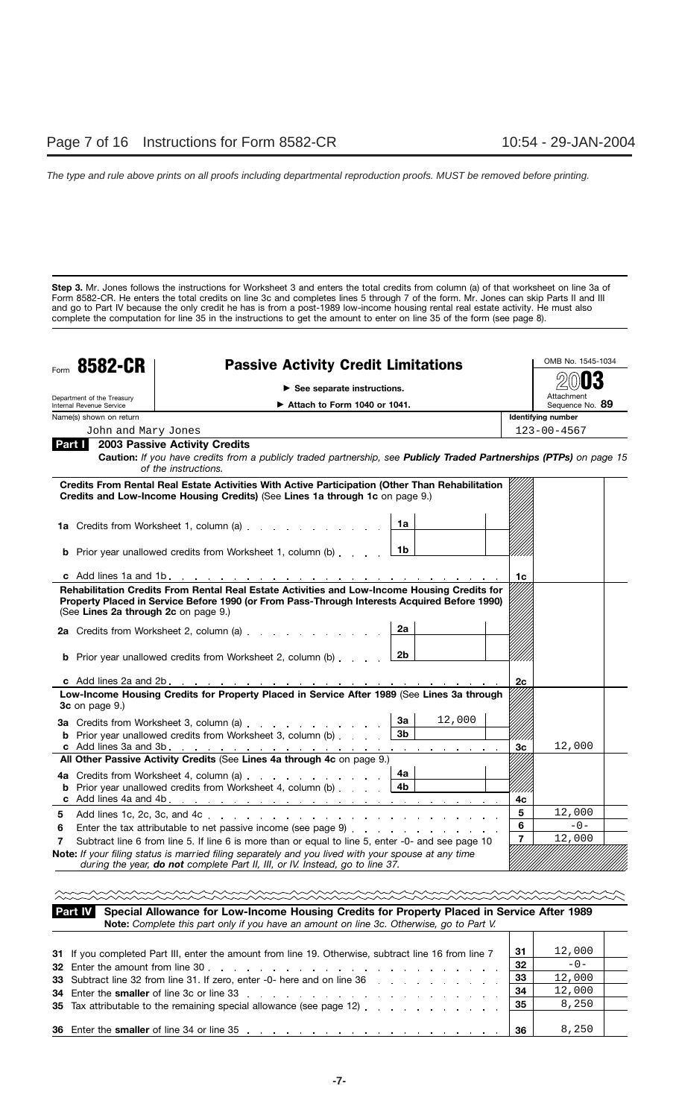**Step 3.** Mr. Jones follows the instructions for Worksheet 3 and enters the total credits from column (a) of that worksheet on line 3a of Form 8582-CR. He enters the total credits on line 3c and completes lines 5 through 7 of the form. Mr. Jones can skip Parts II and III and go to Part IV because the only credit he has is from a post-1989 low-income housing rental real estate activity. He must also complete the computation for line 35 in the instructions to get the amount to enter on line 35 of the form (see page 8).

|        | Form 8582-CR                                        | <b>Passive Activity Credit Limitations</b>                                                                                                                                                                                                    | OMB No. 1545-1034                            |
|--------|-----------------------------------------------------|-----------------------------------------------------------------------------------------------------------------------------------------------------------------------------------------------------------------------------------------------|----------------------------------------------|
|        |                                                     | $\blacktriangleright$ See separate instructions.                                                                                                                                                                                              |                                              |
|        | Department of the Treasury                          |                                                                                                                                                                                                                                               | Attachment                                   |
|        | Internal Revenue Service<br>Name(s) shown on return | $\triangleright$ Attach to Form 1040 or 1041.                                                                                                                                                                                                 | Sequence No. 89<br><b>Identifying number</b> |
|        | John and Mary Jones                                 |                                                                                                                                                                                                                                               |                                              |
| Part I |                                                     | <b>2003 Passive Activity Credits</b>                                                                                                                                                                                                          | $123 - 00 - 4567$                            |
|        |                                                     | Caution: If you have credits from a publicly traded partnership, see Publicly Traded Partnerships (PTPs) on page 15<br>of the instructions.                                                                                                   |                                              |
|        |                                                     | Credits From Rental Real Estate Activities With Active Participation (Other Than Rehabilitation<br>Credits and Low-Income Housing Credits) (See Lines 1a through 1c on page 9.)                                                               |                                              |
|        |                                                     | 1a Credits from Worksheet 1, column (a)<br>1a                                                                                                                                                                                                 |                                              |
|        |                                                     | 1b<br><b>b</b> Prior year unallowed credits from Worksheet 1, column (b)                                                                                                                                                                      |                                              |
|        |                                                     |                                                                                                                                                                                                                                               | 1c                                           |
|        | (See Lines 2a through 2c on page 9.)                | Property Placed in Service Before 1990 (or From Pass-Through Interests Acquired Before 1990)<br>2a<br><b>b</b> Prior year unallowed credits from Worksheet 2, column (b) $\ldots$ $\boxed{2b}$                                                |                                              |
|        |                                                     |                                                                                                                                                                                                                                               | 2c                                           |
|        | 3c on page 9.)                                      | Low-Income Housing Credits for Property Placed in Service After 1989 (See Lines 3a through<br>12,000<br>За<br>3a Credits from Worksheet 3, column (a)<br>3 <sub>b</sub><br><b>b</b> Prior year unallowed credits from Worksheet 3, column (b) |                                              |
|        |                                                     |                                                                                                                                                                                                                                               | 12,000<br>3c                                 |
|        |                                                     | All Other Passive Activity Credits (See Lines 4a through 4c on page 9.)                                                                                                                                                                       |                                              |
|        |                                                     | 4a l<br>4a Credits from Worksheet 4, column (a)                                                                                                                                                                                               | 4c                                           |
| 5      |                                                     |                                                                                                                                                                                                                                               | 5<br>12,000                                  |
| 6      |                                                     |                                                                                                                                                                                                                                               | 6<br>$-0-$                                   |
| 7      |                                                     | Subtract line 6 from line 5. If line 6 is more than or equal to line 5, enter -0- and see page 10                                                                                                                                             | $\overline{7}$<br>12,000                     |
|        |                                                     | Note: If your filing status is married filing separately and you lived with your spouse at any time<br>during the year, do not complete Part II, III, or IV. Instead, go to line 37.                                                          |                                              |

**Special Allowance for Low-Income Housing Credits for Property Placed in Service After 1989 Note:** *Complete this part only if you have an amount on line 3c. Otherwise, go to Part V.* **Part IV**

| 31 If you completed Part III, enter the amount from line 19. Otherwise, subtract line 16 from line 7           | -31 | 12,000 |  |
|----------------------------------------------------------------------------------------------------------------|-----|--------|--|
| 32 Enter the amount from line 30                                                                               | 32  | $-0-$  |  |
| 33 Subtract line 32 from line 31. If zero, enter -0- here and on line 36 manuscript and service and on line 36 | -33 | 12,000 |  |
|                                                                                                                | -34 | 12,000 |  |
| 35 Tax attributable to the remaining special allowance (see page 12)                                           | 35  | 8,250  |  |
|                                                                                                                |     |        |  |
|                                                                                                                | 36  | 8,250  |  |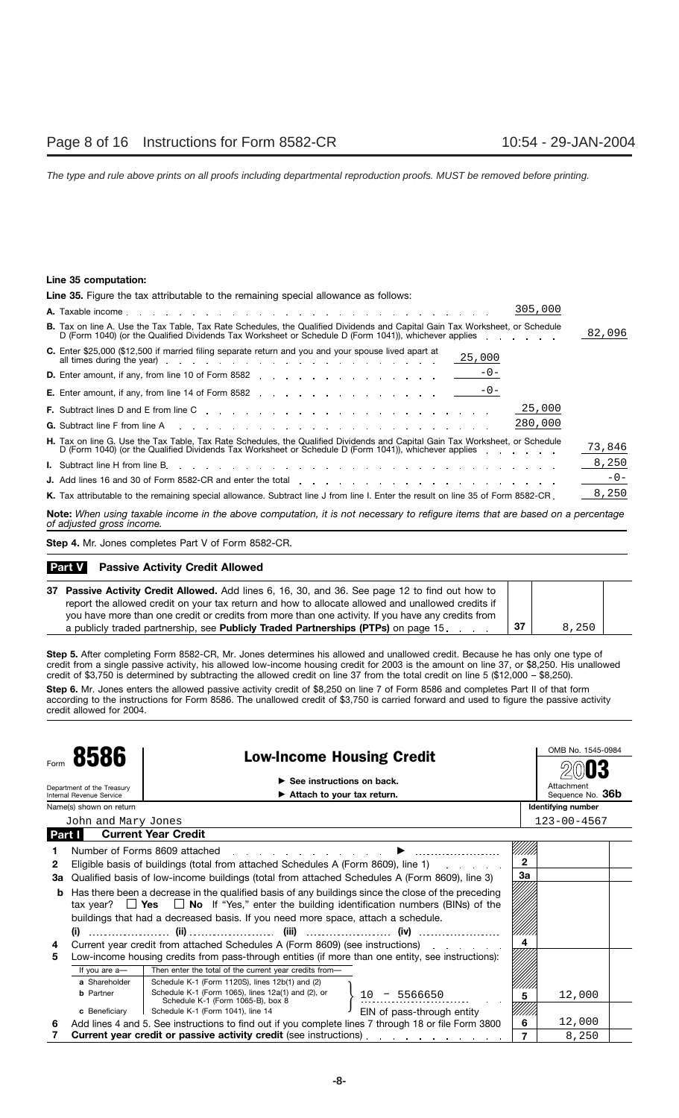### **Line 35 computation:**

| <b>Line 35.</b> Figure the tax attributable to the remaining special allowance as follows:                                                                                                                                                           |        |
|------------------------------------------------------------------------------------------------------------------------------------------------------------------------------------------------------------------------------------------------------|--------|
| 305,000                                                                                                                                                                                                                                              |        |
| <b>B.</b> Tax on line A. Use the Tax Table, Tax Rate Schedules, the Qualified Dividends and Capital Gain Tax Worksheet, or Schedule<br>D (Form 1040) (or the Qualified Dividends Tax Worksheet or Schedule D (Form 1041)), whichever applies [14] D. | 82,096 |
| <b>C.</b> Enter \$25,000 (\$12,500 if married filing separate return and you and your spouse lived apart at<br>25,000                                                                                                                                |        |
| <b>D.</b> Enter amount, if any, from line 10 of Form 8582 $\frac{-0-1}{2}$                                                                                                                                                                           |        |
| <b>E.</b> Enter amount, if any, from line 14 of Form 8582 $\frac{-0-1}{2}$                                                                                                                                                                           |        |
| 25,000                                                                                                                                                                                                                                               |        |
| 280,000<br><b>G.</b> Subtract line F from line A research and research and research and research and research and research and research and research and research and research and research and research and research and research and researc       |        |
| <b>H.</b> Tax on line G. Use the Tax Table, Tax Rate Schedules, the Qualified Dividends and Capital Gain Tax Worksheet, or Schedule<br>D (Form 1040) (or the Qualified Dividends Tax Worksheet or Schedule D (Form 1041)), whichever applies         | 73,846 |
|                                                                                                                                                                                                                                                      | 8,250  |
| J. Add lines 16 and 30 of Form 8582-CR and enter the total enters and contact the state of the state of the state of the state of the state of the state of the state of the state of the state of the state of the state of t                       | $-0-$  |
| K. Tax attributable to the remaining special allowance. Subtract line J from line I. Enter the result on line 35 of Form 8582-CR.                                                                                                                    | 8,250  |

**Note:** *When using taxable income in the above computation, it is not necessary to refigure items that are based on a percentage of adjusted gross income.*

**Step 4.** Mr. Jones completes Part V of Form 8582-CR.

### **Part V** Passive Activity Credit Allowed

| 37 Passive Activity Credit Allowed. Add lines 6, 16, 30, and 36. See page 12 to find out how to    |     |       |  |
|----------------------------------------------------------------------------------------------------|-----|-------|--|
| report the allowed credit on your tax return and how to allocate allowed and unallowed credits if  |     |       |  |
| you have more than one credit or credits from more than one activity. If you have any credits from |     |       |  |
| a publicly traded partnership, see Publicly Traded Partnerships (PTPs) on page 15.                 | -37 | 8.250 |  |

**Step 5.** After completing Form 8582-CR, Mr. Jones determines his allowed and unallowed credit. Because he has only one type of credit from a single passive activity, his allowed low-income housing credit for 2003 is the amount on line 37, or \$8,250. His unallowed credit of \$3,750 is determined by subtracting the allowed credit on line 37 from the total credit on line 5 (\$12,000 – \$8,250).

**Step 6.** Mr. Jones enters the allowed passive activity credit of \$8,250 on line 7 of Form 8586 and completes Part II of that form according to the instructions for Form 8586. The unallowed credit of \$3,750 is carried forward and used to figure the passive activity credit allowed for 2004.

|      |                                                                                                                                                                                      |                                                                                                                       |                                            |                | OMB No. 1545-0984  |  |
|------|--------------------------------------------------------------------------------------------------------------------------------------------------------------------------------------|-----------------------------------------------------------------------------------------------------------------------|--------------------------------------------|----------------|--------------------|--|
| Form | 8586<br><b>Low-Income Housing Credit</b>                                                                                                                                             |                                                                                                                       |                                            |                |                    |  |
|      |                                                                                                                                                                                      |                                                                                                                       | $\triangleright$ See instructions on back. |                | Attachment         |  |
|      | Department of the Treasury<br><b>Internal Revenue Service</b>                                                                                                                        |                                                                                                                       | Attach to your tax return.                 |                | Sequence No. 36b   |  |
|      | Name(s) shown on return                                                                                                                                                              |                                                                                                                       |                                            |                | Identifying number |  |
|      | John and Mary Jones                                                                                                                                                                  |                                                                                                                       |                                            |                | $123 - 00 - 4567$  |  |
|      | Part I                                                                                                                                                                               | <b>Current Year Credit</b>                                                                                            |                                            |                |                    |  |
|      |                                                                                                                                                                                      | Number of Forms 8609 attached                                                                                         |                                            |                |                    |  |
| 2    |                                                                                                                                                                                      | Eligible basis of buildings (total from attached Schedules A (Form 8609), line 1)                                     |                                            | $\overline{2}$ |                    |  |
| За   |                                                                                                                                                                                      | Qualified basis of low-income buildings (total from attached Schedules A (Form 8609), line 3)                         |                                            | За             |                    |  |
| b    | Has there been a decrease in the qualified basis of any buildings since the close of the preceding                                                                                   |                                                                                                                       |                                            |                |                    |  |
|      | tax year? $\Box$ Yes $\Box$ No If "Yes," enter the building identification numbers (BINs) of the<br>buildings that had a decreased basis. If you need more space, attach a schedule. |                                                                                                                       |                                            |                |                    |  |
|      |                                                                                                                                                                                      |                                                                                                                       |                                            |                |                    |  |
|      | (i)                                                                                                                                                                                  | (iv)                                                                                                                  |                                            |                |                    |  |
| 4    |                                                                                                                                                                                      | Current year credit from attached Schedules A (Form 8609) (see instructions)                                          |                                            | 4              |                    |  |
| 5    |                                                                                                                                                                                      | Low-income housing credits from pass-through entities (if more than one entity, see instructions):                    |                                            |                |                    |  |
|      | If you are a-                                                                                                                                                                        | Then enter the total of the current year credits from-                                                                |                                            |                |                    |  |
|      | a Shareholder                                                                                                                                                                        | Schedule K-1 (Form 1120S), lines 12b(1) and (2)                                                                       |                                            |                |                    |  |
|      | <b>b</b> Partner                                                                                                                                                                     | Schedule K-1 (Form 1065), lines 12a(1) and (2), or<br>Schedule K-1 (Form 1065-B), box 8                               | 5566650<br>10                              | 5              | 12,000             |  |
|      | c Beneficiary                                                                                                                                                                        | Schedule K-1 (Form 1041), line 14                                                                                     | EIN of pass-through entity                 |                |                    |  |
| 6    |                                                                                                                                                                                      | Add lines 4 and 5. See instructions to find out if you complete lines 7 through 18 or file Form 3800                  |                                            | 6              | 12,000             |  |
|      |                                                                                                                                                                                      | <b>Current year credit or passive activity credit</b> (see instructions) entitled and the contract of the contract of |                                            | 7              | 8,250              |  |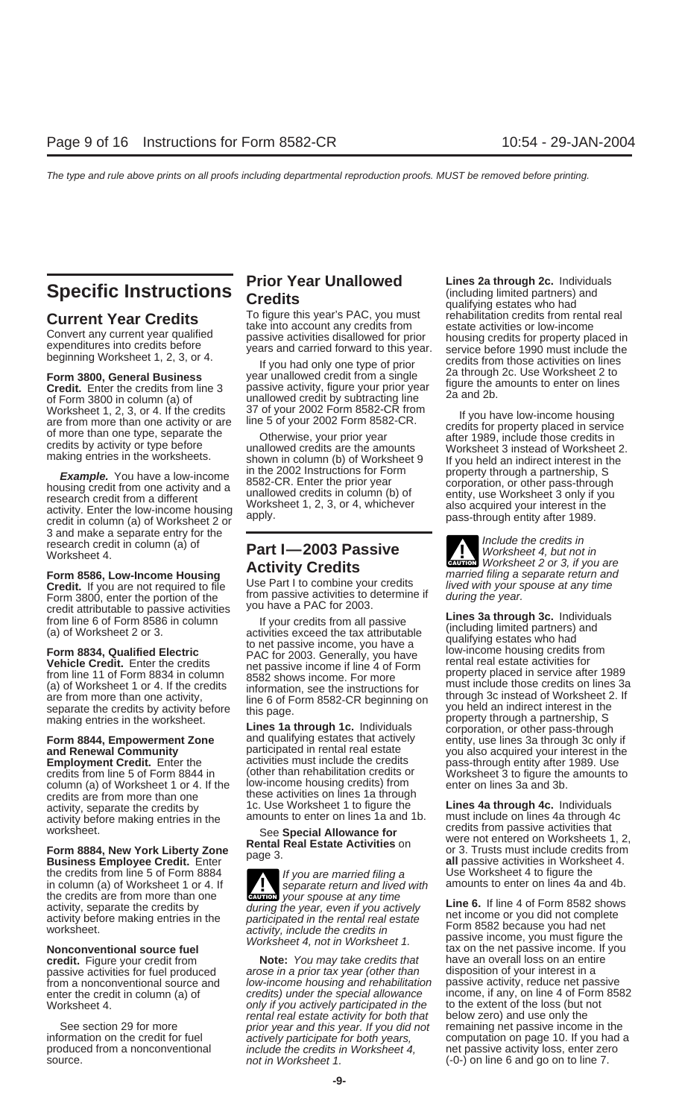3 and make a separate entry for the **Include the credits in**<br> **Include the credits in** research credit in column (a) of **Part I-2003 Passive** Worksheet 4, but not in

**Credit.** If you are not required to file Use Part I to combine your credits lived with your spouse at any time<br>Form 3800, enter the portion of the from passive activities to determine if during the year.

**Employment Credit.** Enter the activities must include the credits pass-through entity after 1989. Use credits credits from line 5 of Form 8844 in (other than rehabilitation credits or Worksheet 3 to figure the amounts to column (a) of Worksheet 1 or 4. If the credits are from more than one credits are from more than one these activities on lines 1a through<br>activity, separate the credits by 1c. Use Worksheet 1 to figure the activity, separate the credits by **1c.** Use Worksheet 1 to figure the **Lines 4a through 4c.** Individuals activity before making entries in the amounts to enter on lines 1a and 1b. must include on lines 4a through 4c worksh

**Business Employee Credit.** Enter the creation of the credits from line 5 of Form 8884<br>in column (a) of Worksheet 1 or 4. If **the creative of the separate return and lived with** amounts to enter on lines 4a and 4b. the credits are from more than one activity, separate the credits by

**Current Year Credits**<br>take into account any credits from estate activities or low-income

**Form 8844, Empowerment Zone Eines 1a through 1c.** Individuals corporation, or other pass-through<br>
Form 8844, Empowerment Zone and qualifying estates that actively entity, use lines 3a through 3c only if<br>
and Renewal Com

in column (a) of Worksheet 1 or 4. If  $\blacksquare$  separate return and lived with **ENTION** your spouse at any time activity, separate the credits by during the year, even if you actively<br>activity before making entries in the participated in the rental real estate<br>worksheet. activity include the credits in activity, include the credits in Worksheet 4, not in Worksheet 1. passive income, you must figure the

**credit.** Figure your credit from **Note:** You may take credits that have an overall loss on an entire passive activities for fuel produced arose in a prior tax year (other than disposition of your interest in a passive activities for fuel produced arose in a prior tax year (other than disposition of your interest in a<br>from a nonconventional source and low-income housing and rehabilitation passive activity, reduce net passive from a nonconventional source and low-income housing and rehabilitation enter the credit in column (a) of credits) under the special allowance Worksheet 4.  $\hskip1cm$  only if you actively participated in the to the extent of the loss (but normal real estate activity for both that rental real estate activity for both that below zero) and use only the prior year and this year. If you did not remaining net passive income in the See section 29 for more prior year and this year. If you did not information on the credit for fuel actively participate for both years, information on the credit for fuel actively participate for both years, computation on page 10. If you had a<br>
produced from a nonconventional include the credits in Worksheet 4. The passive activity loss, enter zero include the credits in Worksheet  $4$ , net passive activity loss, enter zero source. **not in Worksheet 1.** (-0-) on line 6 and go on to line 7.

**Prior Year Unallowed Lines 2a through 2c.** Individuals **Specific Instructions Credits** (including limited partners) and *the qualifying estates who had* **Current Year Credits To figure this year's PAC, you must** reh Convert any current vectors take into account any credits from estate activities or low-income<br>expenditures into credits before passive activities disallowed for prior housing credits for property placed in<br>beginning Works

Worksheet 1, 2, 3, or 4. If the credits are from more than one activity or are<br>
of more than one activity or are inne 5 of your 2002 Form 8582-CR.<br>
of more than one type separate the<br>
credits by activity or type before th

research credit in column (a) of **Part I—2003 Passive To the Worksheet 4, but not in**<br> **Activity Credits Credits** Worksheet 2 or 3, if you are **Activity Credits**<br>**Form 8586, Low-Income Housing Activity Credits examenced** filing a separate return and<br>Credit live are not required to file Use Part I to combine your credits *lived with your spouse at any time* 

Form 3800, enter the portion of the<br>
credit attributable to passive activities<br>
from line 6 of Form 8586 in column<br>
(a) of Worksheet 2 or 3.<br> **Form 8834, Qualified Electric**<br> **Form 8834, Qualified Electric**<br> **Form 8834, Qu** (a) of Worksheet 1 or 4. If the credits<br>are from more than one activity,<br>separate the credits by activity before<br>making entries in the worksheet.<br>Lines 1a through 1c. Individuals corporation, or other pass-through<br>corporat **and Renewal Community participated in rental real estate** you also acquired your interest in the participated in rental real estate<br>**Employment Credit** Enter the **contract include the credits** and pass-through entity af credits from line 5 of Form 8844 in (other than rehabilitation credits or inversible to figure the amounts to column (a) of Worksheet 1 or 4. If the low-income housing credits) from enter on lines 3a and 3b.

worksheet.<br>Worksheet.<br>**Form 8884, New York Liberty Zone**<br>**Rental Real Estate Activities** on Trusts must include credits from<br>**Business Employee Credit.** Enter page 3.<br>**Business Employee Credit.** Enter all passive activitie

**Nonconventional source fuel** tax on the net passive income. If you<br> **Credit.** Figure your credit from **Note:** You may take credits that have an overall loss on an entire income, if any, on line 4 of Form 8582<br>to the extent of the loss (but not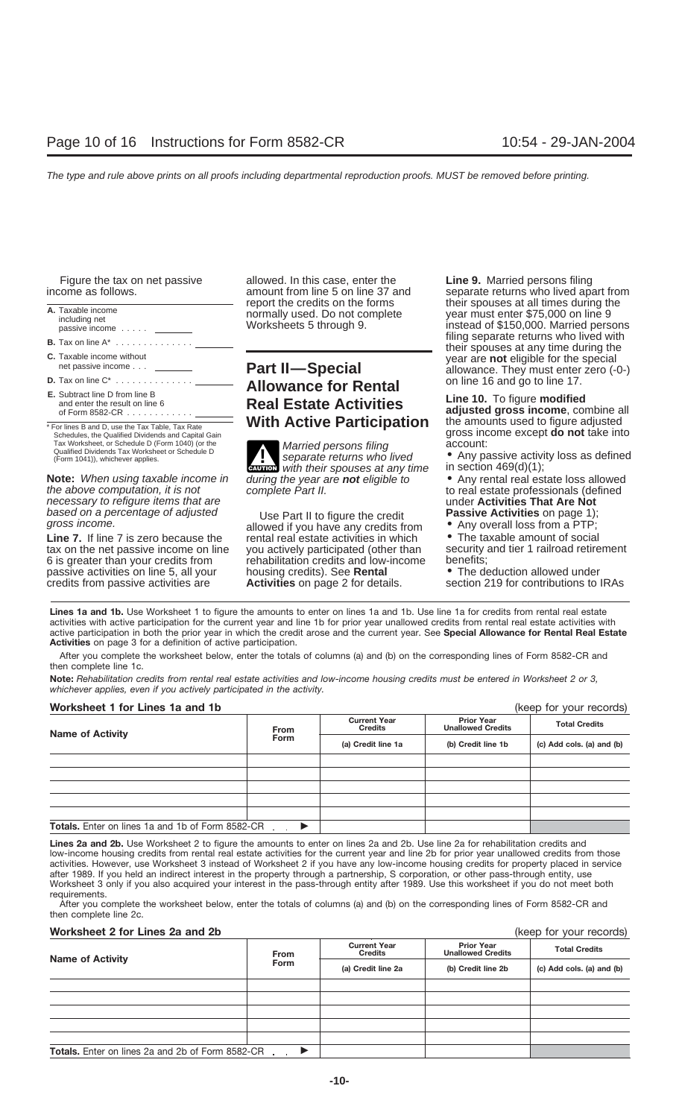| A. Taxable income<br>including net<br>passive income                                                                                                        | <b>ICPORT THE CICURS OFF THE TUITIS</b><br>normally used. Do not complete<br>Worksheets 5 through 9. | ululi opouoco di dii illiloo during tho<br>year must enter \$75,000 on line 9<br>instead of \$150,000. Married persons |
|-------------------------------------------------------------------------------------------------------------------------------------------------------------|------------------------------------------------------------------------------------------------------|------------------------------------------------------------------------------------------------------------------------|
| <b>B.</b> Tax on line $A^*$                                                                                                                                 |                                                                                                      | filing separate returns who lived with<br>their spouses at any time during the                                         |
| <b>C.</b> Taxable income without<br>net passive income                                                                                                      | <b>Part II-Special</b>                                                                               | year are not eligible for the special<br>allowance. They must enter zero (-0-)                                         |
| <b>D.</b> Tax on line $C^*$                                                                                                                                 | <b>Allowance for Rental</b>                                                                          | on line 16 and go to line 17.                                                                                          |
| <b>E.</b> Subtract line D from line B<br>and enter the result on line 6<br>of Form 8582-CR $\dots \dots \dots$                                              | <b>Real Estate Activities</b>                                                                        | Line 10. To figure modified<br>adjusted gross income, combine all                                                      |
| * For lines B and D, use the Tax Table, Tax Rate<br>Schedules, the Qualified Dividends and Capital Gain<br>Tax Worksheet, or Schedule D (Form 1040) (or the | <b>With Active Participation</b><br>Married persons filing                                           | the amounts used to figure adjusted<br>gross income except do not take into<br>account:                                |
| Qualified Dividends Tax Worksheet or Schedule D<br>$(Form 1041)$ whichever annlies                                                                          | separate returns who lived                                                                           | • Any passive activity loss as defined                                                                                 |

**Note:** When using taxable income in during the year are the above computation, it is not allowed complete Part II. necessary to refigure items that are<br>
based on a percentage of adjusted under Part II to figure the credit **Passive Activities** on page 1); based on a percentage of adjusted Use Part II to figure the credit gross income.

tax on the net passive income on line you actively participated (other than security 6 is greater than your credits from rehabilitation credits and low-income benefits; passive activities on line 5, all your housing credits). See **Rental** credits from passive activities are **Activities** on page 2 for details. section 219 for contributions to IRAs

Figure the tax on net passive allowed. In this case, enter the **Line 9.** Married persons filing

Married persons filing<br>separate returns who lived **CAUTION** with their spouses at any time in section 469(d)(1);<br>during the year are **not** eligible to **•** Any rental real estate loss allowed

rehabilitation credits and low-income benefits;<br>housing credits). See **Rental e** The deduction allowed under

income as follows. and amount from line 5 on line 37 and separate returns who lived apart from and their spouses at all times during the separate returns who lived apart from the credits on the forms report the credits on the forms their spouses at all times during the ally used. Do not complete year must enter \$75,000 on line 9 inclusions of through 9.<br> **A. Taxable incomplete** year must enter \$75,000 on line 9 instead instead of \$150,000. Married persons filing separate returns who lived with their spouses at any time during the year are **not** eligible for the special<br> **C. They must enter zero (-0-)**<br>
on line 16 and go to line 17.

- Any passive activity loss as defined in section  $469(d)(1)$ ;
- to real estate professionals (defined<br>under Activities That Are Not
- 

• Any overall loss from a PTP;<br>• The taxable amount of social Line 7. If line 7 is zero because the rental real estate activities in which • The taxable amount of social tax on the net passive income on line you actively participated (other than security and tier 1 railroad retiremen

Lines 1a and 1b. Use Worksheet 1 to figure the amounts to enter on lines 1a and 1b. Use line 1a for credits from rental real estate activities with active participation for the current year and line 1b for prior year unallowed credits from rental real estate activities with active participation in both the prior year in which the credit arose and the current year. See **Special Allowance for Rental Real Estate Activities** on page 3 for a definition of active participation.

After you complete the worksheet below, enter the totals of columns (a) and (b) on the corresponding lines of Form 8582-CR and then complete line 1c.

**Note:** *Rehabilitation credits from rental real estate activities and low-income housing credits must be entered in Worksheet 2 or 3, whichever applies, even if you actively participated in the activity.*

### **Worksheet 1 for Lines 1a and 1b** (keep for your records)

| WORKSHEEL I JOF LINES THE HIGH TD                       |             |                                       |                                               | (Reep for your records)   |  |
|---------------------------------------------------------|-------------|---------------------------------------|-----------------------------------------------|---------------------------|--|
| <b>Name of Activity</b>                                 | <b>From</b> | <b>Current Year</b><br><b>Credits</b> | <b>Prior Year</b><br><b>Unallowed Credits</b> | <b>Total Credits</b>      |  |
|                                                         | <b>Form</b> | (a) Credit line 1a                    | (b) Credit line 1b                            | (c) Add cols. (a) and (b) |  |
|                                                         |             |                                       |                                               |                           |  |
|                                                         |             |                                       |                                               |                           |  |
|                                                         |             |                                       |                                               |                           |  |
|                                                         |             |                                       |                                               |                           |  |
|                                                         |             |                                       |                                               |                           |  |
| <b>Totals.</b> Enter on lines 1a and 1b of Form 8582-CR |             |                                       |                                               |                           |  |

**Lines 2a and 2b.** Use Worksheet 2 to figure the amounts to enter on lines 2a and 2b. Use line 2a for rehabilitation credits and low-income housing credits from rental real estate activities for the current year and line 2b for prior year unallowed credits from those activities. However, use Worksheet 3 instead of Worksheet 2 if you have any low-income housing credits for property placed in service after 1989. If you held an indirect interest in the property through a partnership, S corporation, or other pass-through entity, use Worksheet 3 only if you also acquired your interest in the pass-through entity after 1989. Use this worksheet if you do not meet both requirements.

After you complete the worksheet below, enter the totals of columns (a) and (b) on the corresponding lines of Form 8582-CR and then complete line 2c.

### **Worksheet 2 for Lines 2a and 2b (keep for your records)** (keep for your records)

|                                                         | <b>From</b><br>Form | <b>Current Year</b><br><b>Credits</b> | <b>Prior Year</b><br><b>Unallowed Credits</b> | <b>Total Credits</b>      |
|---------------------------------------------------------|---------------------|---------------------------------------|-----------------------------------------------|---------------------------|
| <b>Name of Activity</b>                                 |                     | (a) Credit line 2a                    | (b) Credit line 2b                            | (c) Add cols. (a) and (b) |
|                                                         |                     |                                       |                                               |                           |
|                                                         |                     |                                       |                                               |                           |
|                                                         |                     |                                       |                                               |                           |
|                                                         |                     |                                       |                                               |                           |
|                                                         |                     |                                       |                                               |                           |
| <b>Totals.</b> Enter on lines 2a and 2b of Form 8582-CR |                     |                                       |                                               |                           |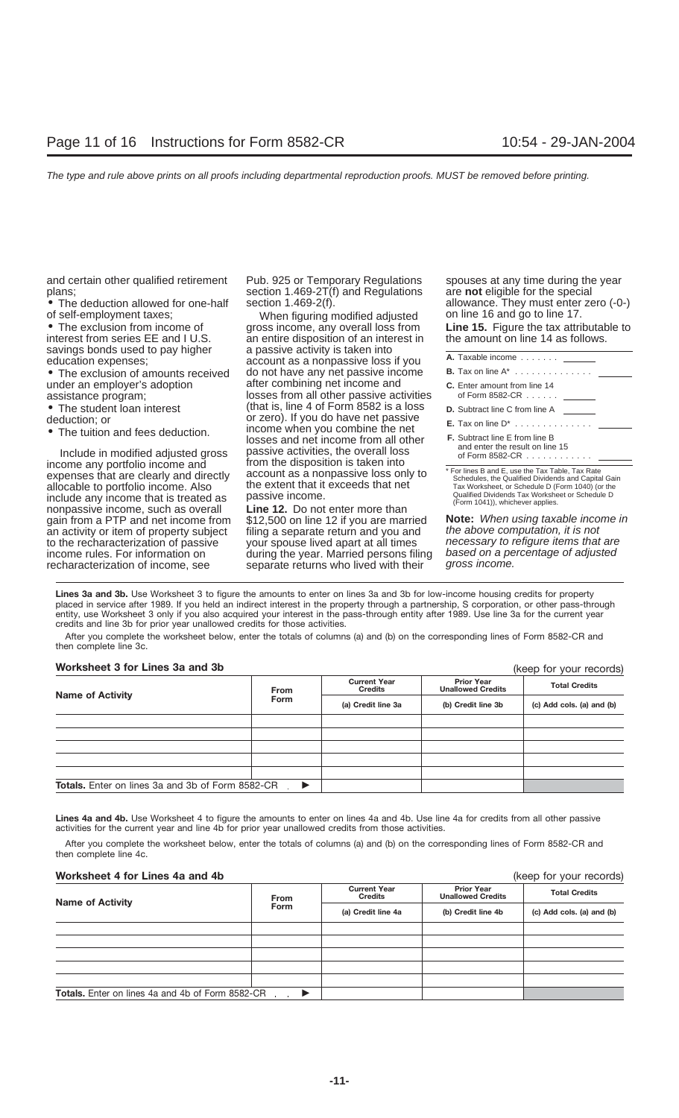and certain other qualified retirement Pub. 925 or Temporary Regulations spouses at any time during the year<br>section 1.469-2T(f) and Regulations are **not** eligible for the special

• The exclusion of amounts received do not have any net passive income under an employer's adoption after combining net income and

- 
- 
- 

Include in modified adjusted gross passive activities, the overall loss income any portfolio income and from the disposition is taken into expenses that are clearly and directly account as a nonpassive loss only to<br>allocable to portfolio income Also the extent that it exceeds that net allocable to portfolio income. Also the extent that it exceeds that net Tax Worksheet, or Schedule D (Form 1040) (or the include a passive income.<br>include any income that is treated as passive income. include any income that is treated as passive income.<br>
nonpassive income, such as overall **Line 12.** Do not enter more than<br>
gain from a PTP and net income from \$12,500 on line 12 if you are married **Note:** When using taxa gain from a PTP and net income from \$12,500 on line 12 if you are married **Note:** When using taxable incom<br>an activity or item of property subject filing a separate return and you and the above computation, it is not an activity or item of property subject filing a separate return and you and the above computation, it is not<br>to the recharacterization of passive your spouse lived apart at all times hecessary to refigure items that are to the recharacterization of passive your spouse lived apart at all times necessary to refigure items that are<br>income rules. For information on during the year. Married persons filing based on a percentage of adjusted income rules. For information on during the year. Married persons filing based on a percentage of a percentage of a percentage of a percentage of a percentage of an extent of an extent of an extent of an extent of an exten

plans;<br>
• The deduction allowed for one-half section 1.469-2(f).

of self-employment taxes; When figuring modified adjusted <sup>on line</sup> 16 and go to line 17.<br>● The exclusion from income of gross income, any overall loss from **Line 15.** Figure the tax attributable to • The exclusion from income of gross income, any overall loss from **Line 15.** Figure the tax attributable interest from series EE and I U.S. an entire disposition of an interest in the amount on line 14 as follows. interest from series EE and I U.S. an entire disposition of an interest in savings bonds used to pay higher a passive activity is taken into savings bonds used to pay higher a passive activity is taken into **education expenses**; **a** account as a nonpassive loss if you after combining net income and assistance program; losses from all other passive activities • The student loan interest (that is, line 4 of Form 8582 is a loss deduction: or **D.** Subtract line A from a from the A from the A deduction: or **zero**). If you do have net passive • The tuition and fees deduction. Income when you combine the net<br>losses and net income from all other

separate returns who lived with their

• The deduction allowed for one-half section  $1.469-2(f)$ . allowance. They must enter zero (-0-) of self-employment taxes: When figuring modified adjusted on line 16 and go to line 17.

| A. Taxable income                                                                                                                                           |
|-------------------------------------------------------------------------------------------------------------------------------------------------------------|
| <b>B.</b> Tax on line $A^*$                                                                                                                                 |
| C. Enter amount from line 14<br>of Form 8582-CR $\ldots$                                                                                                    |
| <b>D.</b> Subtract line C from line A                                                                                                                       |
| <b>E.</b> Tax on line D <sup>*</sup>                                                                                                                        |
| <b>F.</b> Subtract line E from line B<br>and enter the result on line 15<br>of Form 8582-CR $\ldots$                                                        |
| * For lines B and E. use the Tax Table. Tax Rate<br>Schedules, the Qualified Dividends and Capital Gain<br>Tax Worksheet, or Schedule D (Form 1040) (or the |

**Lines 3a and 3b.** Use Worksheet 3 to figure the amounts to enter on lines 3a and 3b for low-income housing credits for property placed in service after 1989. If you held an indirect interest in the property through a partnership, S corporation, or other pass-through entity, use Worksheet 3 only if you also acquired your interest in the pass-through entity after 1989. Use line 3a for the current year credits and line 3b for prior year unallowed credits for those activities.

After you complete the worksheet below, enter the totals of columns (a) and (b) on the corresponding lines of Form 8582-CR and then complete line 3c.

| Worksheet 3 for Lines 3a and 3b                      |             |                                                             | (keep for your records)                       |                           |  |
|------------------------------------------------------|-------------|-------------------------------------------------------------|-----------------------------------------------|---------------------------|--|
| <b>Name of Activity</b>                              | From        | <b>Current Year</b><br><b>Credits</b><br>(a) Credit line 3a | <b>Prior Year</b><br><b>Unallowed Credits</b> | <b>Total Credits</b>      |  |
|                                                      | <b>Form</b> |                                                             | (b) Credit line 3b                            | (c) Add cols. (a) and (b) |  |
|                                                      |             |                                                             |                                               |                           |  |
|                                                      |             |                                                             |                                               |                           |  |
|                                                      |             |                                                             |                                               |                           |  |
|                                                      |             |                                                             |                                               |                           |  |
|                                                      |             |                                                             |                                               |                           |  |
| Totals. Enter on lines 3a and 3b of Form 8582-CR . ▶ |             |                                                             |                                               |                           |  |

Lines 4a and 4b. Use Worksheet 4 to figure the amounts to enter on lines 4a and 4b. Use line 4a for credits from all other passive activities for the current year and line 4b for prior year unallowed credits from those activities.

After you complete the worksheet below, enter the totals of columns (a) and (b) on the corresponding lines of Form 8582-CR and then complete line 4c.

### **Worksheet 4 for Lines 4a and 4b** (keep for your records)

| <b>Name of Activity</b>                                 | <b>From</b><br><b>Form</b> | <b>Current Year</b><br>Credits | <b>Prior Year</b><br><b>Unallowed Credits</b> | <b>Total Credits</b>      |  |
|---------------------------------------------------------|----------------------------|--------------------------------|-----------------------------------------------|---------------------------|--|
|                                                         |                            | (a) Credit line 4a             | (b) Credit line 4b                            | (c) Add cols. (a) and (b) |  |
|                                                         |                            |                                |                                               |                           |  |
|                                                         |                            |                                |                                               |                           |  |
|                                                         |                            |                                |                                               |                           |  |
|                                                         |                            |                                |                                               |                           |  |
|                                                         |                            |                                |                                               |                           |  |
| <b>Totals.</b> Enter on lines 4a and 4b of Form 8582-CR |                            |                                |                                               |                           |  |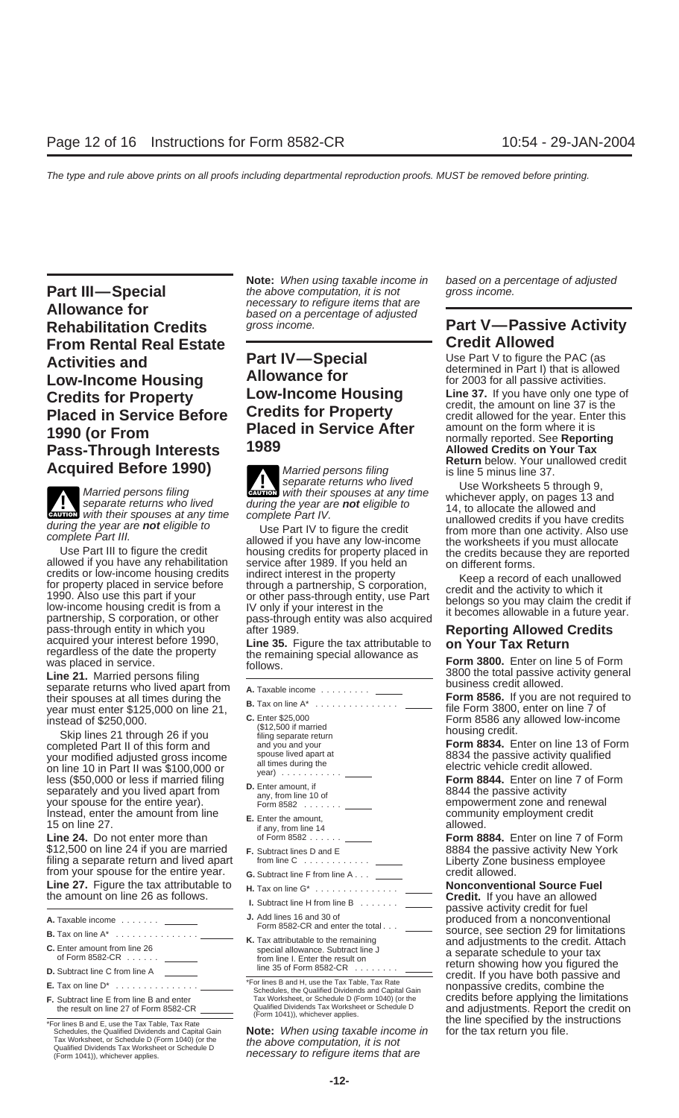**Allowance for**<br>**Rehabilitation Credits** *based on a percentage of adjusted*<br>**Rehabilitation Credits** *gross income.* **From Rental Real Estate Credit Allowed**<br> **Activities and <b>Part IV**—Special Use Part V to figure the PAC (as **Part IV—Special Carrist Duse Part V to figure the PAC (as**<br> **Low-Income Housing Allowance for** the settermined in Part I) that is allowed<br>
for 2003 for all passive activities. **Low-Income Housing Followance for<br><b>Credits for Property Low-Income Housing Credits for Property Low-Income Housing Line 37.** If you have only one type of credit, the amount on line 37 is the **Placed in Service Refore Credits for Property Conservated by Credit allowed for the year.** Enter **Placed in Service Before Credits for Property** credit allowed for the year. Ent<br>**Placed in Service After** amount on the form where it is **Placed in Service After** amount on the form where it is<br>**1989 Pass-Through Interests** 1989 **Pass-Through Interests 1989 Allowed Credits on Your Tax**<br> **A a quartized Defeated ACCO Allowed Credit Constructed A a property Return** below. Your unallowed credit

Warried persons filing the separate returns who lived during the year are **not** eligible to the allowed and with their spouses at any time complete Part IV.<br>
during the year are **not** eligible to the credit during the year **ENTION** with their spouses at any time

credits or low-income housing credits<br>for property placed in service before through a partnership, S corporation,<br>1990. Also use this part if your<br>low-income housing credit is from a<br>low-income housing credit is from a<br>par

- 
- 

Schedules, the Qualified Dividends and Capital Gain<br>
Tax Worksheet, or Schedule D (Form 1040) (or the the above computation, it is not<br>
Qualified Dividends Tax Worksheet or Schedule D<br>
(Form 1041)), whichever applies. The

**Note:** When using taxable income in based on a percentage of adjusted **Part III—Special** the above computation, it is not gross income.

**Acquired Before 1990)** Married persons filing is line 5 minus line 37.<br>Separate returns who lived is line Morksheets 5.1 separate returns who lived<br>Married persons filing **CAUTION** with their spouses at any time whichever apply on pages 13 and<br>Married persons filing

| separate returns who lived apart from<br>their spouses at all times during the<br>year must enter \$125,000 on line 21,<br>instead of \$250,000.<br>Skip lines 21 through 26 if you<br>completed Part II of this form and<br>your modified adjusted gross income | A. Taxable income ______<br><b>B.</b> Tax on line $A^*$<br><b>C.</b> Enter \$25,000<br>(\$12,500 if married<br>filing separate return<br>and you and your<br>spouse lived apart at<br>all times during the                                        | business credit allowed.<br>Form 8586. If you are not required to<br>file Form 3800, enter on line 7 of<br>Form 8586 any allowed low-income<br>housing credit.<br><b>Form 8834.</b> Enter on line 13 of Form<br>8834 the passive activity qualified<br>electric vehicle credit allowed. |
|------------------------------------------------------------------------------------------------------------------------------------------------------------------------------------------------------------------------------------------------------------------|---------------------------------------------------------------------------------------------------------------------------------------------------------------------------------------------------------------------------------------------------|-----------------------------------------------------------------------------------------------------------------------------------------------------------------------------------------------------------------------------------------------------------------------------------------|
| on line 10 in Part II was \$100,000 or<br>less (\$50,000 or less if married filing<br>separately and you lived apart from<br>your spouse for the entire year).<br>Instead, enter the amount from line<br>15 on line 27.                                          | year) $\ldots$ $\ldots$ $\ldots$<br><b>D.</b> Enter amount, if<br>any, from line 10 of<br>Form 8582 $\ldots$<br><b>E.</b> Enter the amount,<br>if any, from line 14                                                                               | <b>Form 8844.</b> Enter on line 7 of Form<br>8844 the passive activity<br>empowerment zone and renewal<br>community employment credit<br>allowed.                                                                                                                                       |
| Line 24. Do not enter more than<br>\$12,500 on line 24 if you are married<br>filing a separate return and lived apart<br>from your spouse for the entire year.                                                                                                   | of Form 8582<br><b>F.</b> Subtract lines D and E<br>from line $C_1, \ldots, C_n, C_n$<br><b>G.</b> Subtract line F from line A                                                                                                                    | Form 8884. Enter on line 7 of Form<br>8884 the passive activity New York<br>Liberty Zone business employee<br>credit allowed.                                                                                                                                                           |
| <b>Line 27.</b> Figure the tax attributable to<br>the amount on line 26 as follows.                                                                                                                                                                              | <b>H.</b> Tax on line $G^*$<br>I. Subtract line H from line B _____                                                                                                                                                                               | <b>Nonconventional Source Fuel</b><br>Credit. If you have an allowed<br>passive activity credit for fuel                                                                                                                                                                                |
| A. Taxable income                                                                                                                                                                                                                                                | J. Add lines 16 and 30 of<br>Form 8582-CR and enter the total                                                                                                                                                                                     | produced from a nonconventional<br>source, see section 29 for limitations                                                                                                                                                                                                               |
| C. Enter amount from line 26<br>of Form 8582-CR $\ldots$ $\ldots$                                                                                                                                                                                                | K. Tax attributable to the remaining<br>special allowance. Subtract line J<br>from line I. Enter the result on<br>line 35 of Form 8582-CR $\ldots$                                                                                                | and adjustments to the credit. Attach<br>a separate schedule to your tax<br>return showing how you figured the                                                                                                                                                                          |
| <b>D.</b> Subtract line C from line A<br><b>E.</b> Tax on line $D^*$<br><b>F.</b> Subtract line E from line B and enter<br>the result on line 27 of Form 8582-CR                                                                                                 | *For lines B and H, use the Tax Table, Tax Rate<br>Schedules, the Qualified Dividends and Capital Gain<br>Tax Worksheet, or Schedule D (Form 1040) (or the<br>Qualified Dividends Tax Worksheet or Schedule D<br>(Form 1041)), whichever applies. | credit. If you have both passive and<br>nonpassive credits, combine the<br>credits before applying the limitations<br>and adjustments. Report the credit on<br>والقصار ومقاصره والمستحلف المتحال المتحال والمستحدث والمستحلف                                                            |

necessary to refigure items that are

# **Part V—Passive Activity**

credit, the amount on line 37 is the<br>credit allowed for the year. Enter this

Gallowed credits if you have credits<br>
during the year are **not** eligible to<br>
complete Part IV to figure the credit<br>
complete Part IV to figure the credit<br>
complete Part IV to figure the credit<br>
during the year are **not** el

3800 the total passive activity general **Line 21.** Married persons filing business credit allowed. separate returns who lived apart from **A.** Taxable income .........

and adjustments. Report the credit on \*For lines B and E, use the Tax Table, Tax Rate the Unity of the lines in the line specified by the instructions<br>Schedules, the Qualified Dividends and Capital Gain **Note:** When using taxable income in for the tax return y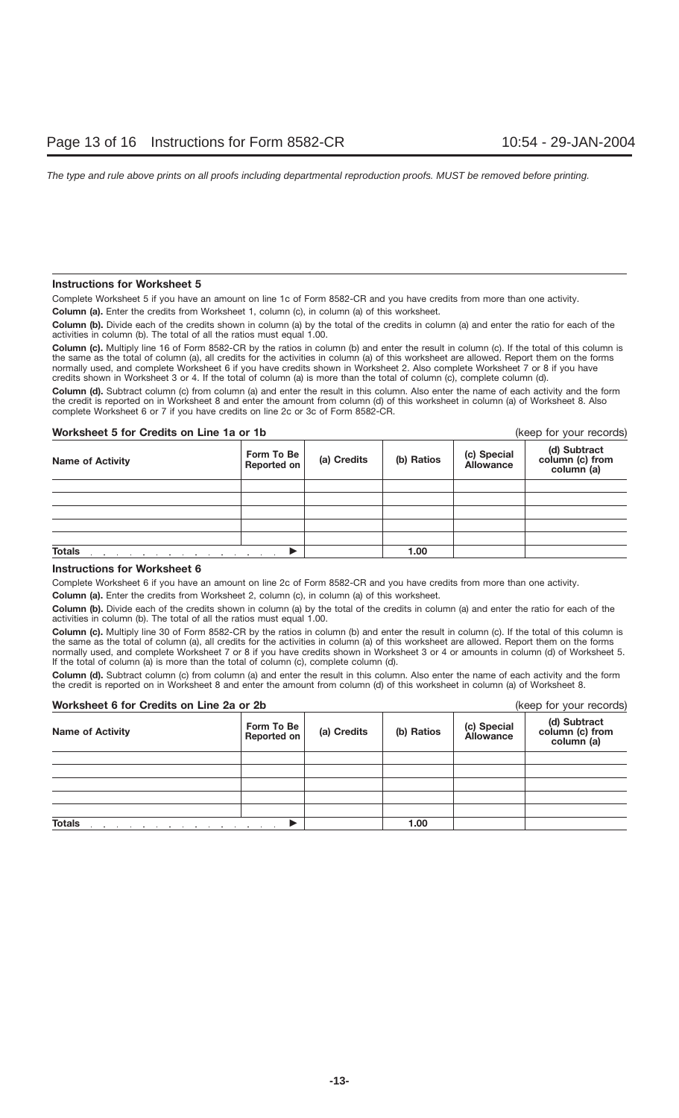### **Instructions for Worksheet 5**

Complete Worksheet 5 if you have an amount on line 1c of Form 8582-CR and you have credits from more than one activity.

**Column (a).** Enter the credits from Worksheet 1, column (c), in column (a) of this worksheet.

**Column (b).** Divide each of the credits shown in column (a) by the total of the credits in column (a) and enter the ratio for each of the activities in column (b). The total of all the ratios must equal 1.00.

Column (c). Multiply line 16 of Form 8582-CR by the ratios in column (b) and enter the result in column (c). If the total of this column is the same as the total of column (a), all credits for the activities in column (a) of this worksheet are allowed. Report them on the forms normally used, and complete Worksheet 6 if you have credits shown in Worksheet 2. Also complete Worksheet 7 or 8 if you have credits shown in Worksheet 3 or 4. If the total of column (a) is more than the total of column (c), complete column (d).

**Column (d).** Subtract column (c) from column (a) and enter the result in this column. Also enter the name of each activity and the form the credit is reported on in Worksheet 8 and enter the amount from column (d) of this worksheet in column (a) of Worksheet 8. Also complete Worksheet 6 or 7 if you have credits on line 2c or 3c of Form 8582-CR.

### **Worksheet 5 for Credits on Line 1a or 1b** (keep for your records)

| <b>Name of Activity</b> | Form To Be<br>Reported on | (a) Credits | (b) Ratios | (c) Special<br>Allowance | (d) Subtract<br>column (c) from<br>column (a) |
|-------------------------|---------------------------|-------------|------------|--------------------------|-----------------------------------------------|
|                         |                           |             |            |                          |                                               |
|                         |                           |             |            |                          |                                               |
|                         |                           |             |            |                          |                                               |
|                         |                           |             |            |                          |                                               |
|                         |                           |             |            |                          |                                               |
| <b>Totals</b>           |                           |             | 1.00       |                          |                                               |

### **Instructions for Worksheet 6**

Complete Worksheet 6 if you have an amount on line 2c of Form 8582-CR and you have credits from more than one activity.

**Column (a).** Enter the credits from Worksheet 2, column (c), in column (a) of this worksheet.

**Column (b).** Divide each of the credits shown in column (a) by the total of the credits in column (a) and enter the ratio for each of the activities in column (b). The total of all the ratios must equal 1.00.

**Column (c).** Multiply line 30 of Form 8582-CR by the ratios in column (b) and enter the result in column (c). If the total of this column is the same as the total of column (a), all credits for the activities in column (a) of this worksheet are allowed. Report them on the forms normally used, and complete Worksheet 7 or 8 if you have credits shown in Worksheet 3 or 4 or amounts in column (d) of Worksheet 5. If the total of column (a) is more than the total of column (c), complete column (d).

**Column (d).** Subtract column (c) from column (a) and enter the result in this column. Also enter the name of each activity and the form the credit is reported on in Worksheet 8 and enter the amount from column (d) of this worksheet in column (a) of Worksheet 8.

### **Worksheet 6 for Credits on Line 2a or 2b** (keep for your records)

| <b>WOI KSILEEL O TOT CIEGILS OIT LITTE ZA OI ZD</b>                                       |                           |             |            | IVEED IN YOUI IECOINS)   |                                               |
|-------------------------------------------------------------------------------------------|---------------------------|-------------|------------|--------------------------|-----------------------------------------------|
| <b>Name of Activity</b>                                                                   | Form To Be<br>Reported on | (a) Credits | (b) Ratios | (c) Special<br>Allowance | (d) Subtract<br>column (c) from<br>column (a) |
|                                                                                           |                           |             |            |                          |                                               |
|                                                                                           |                           |             |            |                          |                                               |
|                                                                                           |                           |             |            |                          |                                               |
|                                                                                           |                           |             |            |                          |                                               |
|                                                                                           |                           |             |            |                          |                                               |
| <b>Totals</b><br>the contract of the contract of the<br>the company of the company of the | the contract of           |             | 1.00       |                          |                                               |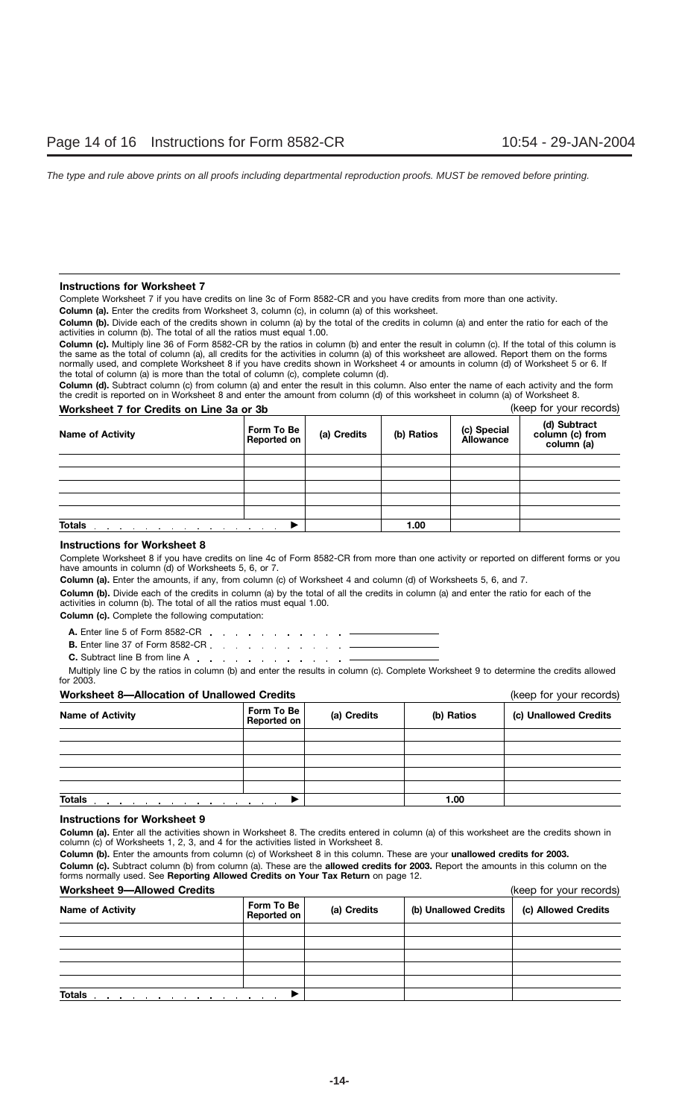### **Instructions for Worksheet 7**

Complete Worksheet 7 if you have credits on line 3c of Form 8582-CR and you have credits from more than one activity.

**Column (a).** Enter the credits from Worksheet 3, column (c), in column (a) of this worksheet.

**Column (b).** Divide each of the credits shown in column (a) by the total of the credits in column (a) and enter the ratio for each of the activities in column (b). The total of all the ratios must equal 1.00.

**Column (c).** Multiply line 36 of Form 8582-CR by the ratios in column (b) and enter the result in column (c). If the total of this column is the same as the total of column (a), all credits for the activities in column (a) of this worksheet are allowed. Report them on the forms normally used, and complete Worksheet 8 if you have credits shown in Worksheet 4 or amounts in column (d) of Worksheet 5 or 6. If the total of column (a) is more than the total of column (c), complete column (d).

**Column (d).** Subtract column (c) from column (a) and enter the result in this column. Also enter the name of each activity and the form the credit is reported on in Worksheet 8 and enter the amount from column (d) of this worksheet in column (a) of Worksheet 8.

| Worksheet 7 for Credits on Line 3a or 3b                                         |                           |             |            | (keep for your records)  |                                               |
|----------------------------------------------------------------------------------|---------------------------|-------------|------------|--------------------------|-----------------------------------------------|
| <b>Name of Activity</b>                                                          | Form To Be<br>Reported on | (a) Credits | (b) Ratios | (c) Special<br>Allowance | (d) Subtract<br>column (c) from<br>column (a) |
|                                                                                  |                           |             |            |                          |                                               |
|                                                                                  |                           |             |            |                          |                                               |
|                                                                                  |                           |             |            |                          |                                               |
|                                                                                  |                           |             |            |                          |                                               |
|                                                                                  |                           |             |            |                          |                                               |
| <b>Totals</b><br>and a series of the contract of the contract of the contract of |                           |             | 1.00       |                          |                                               |

### **Instructions for Worksheet 8**

Complete Worksheet 8 if you have credits on line 4c of Form 8582-CR from more than one activity or reported on different forms or you have amounts in column (d) of Worksheets 5, 6, or 7.

**Column (a).** Enter the amounts, if any, from column (c) of Worksheet 4 and column (d) of Worksheets 5, 6, and 7.

**Column (b).** Divide each of the credits in column (a) by the total of all the credits in column (a) and enter the ratio for each of the activities in column (b). The total of all the ratios must equal 1.00.

**Column (c).** Complete the following computation:

**A.** Enter line 5 of Form 8582-CR  $\sim 10^{-11}$  $\mathbf{r}$  ,  $\mathbf{r}$  ,  $\mathbf{r}$  ,  $\mathbf{r}$  ,  $\mathbf{r}$ 

**B.** Enter line 37 of Form 8582-CR . . . . . . . . . . . . . **C.** Subtract line B from line A

Multiply line C by the ratios in column (b) and enter the results in column (c). Complete Worksheet 9 to determine the credits allowed for 2003.

### **Worksheet 8—Allocation of Unallowed Credits** (keep for your records)

|                                                    | $(1.55)$ . $5.75$ . $1.55$ . $5.6$                          |             |            |                       |
|----------------------------------------------------|-------------------------------------------------------------|-------------|------------|-----------------------|
| <b>Name of Activity</b>                            | Form To Be<br>Reported on                                   | (a) Credits | (b) Ratios | (c) Unallowed Credits |
|                                                    |                                                             |             |            |                       |
|                                                    |                                                             |             |            |                       |
|                                                    |                                                             |             |            |                       |
|                                                    |                                                             |             |            |                       |
|                                                    |                                                             |             |            |                       |
| <b>Totals</b><br>the company of the company of the | the control of the control of the control of the control of |             | 1.00       |                       |

### **Instructions for Worksheet 9**

**Column (a).** Enter all the activities shown in Worksheet 8. The credits entered in column (a) of this worksheet are the credits shown in column (c) of Worksheets 1, 2, 3, and 4 for the activities listed in Worksheet 8.

**Column (b).** Enter the amounts from column (c) of Worksheet 8 in this column. These are your **unallowed credits for 2003.**

**Column (c).** Subtract column (b) from column (a). These are the **allowed credits for 2003.** Report the amounts in this column on the forms normally used. See **Reporting Allowed Credits on Your Tax Return** on page 12.

### **Worksheet 9—Allowed Credits** (keep for your records)

| worksheet 9—Allowed Credits                                                      | (Keep for your records)   |             |                       |                     |
|----------------------------------------------------------------------------------|---------------------------|-------------|-----------------------|---------------------|
| <b>Name of Activity</b>                                                          | Form To Be<br>Reported on | (a) Credits | (b) Unallowed Credits | (c) Allowed Credits |
|                                                                                  |                           |             |                       |                     |
|                                                                                  |                           |             |                       |                     |
|                                                                                  |                           |             |                       |                     |
|                                                                                  |                           |             |                       |                     |
|                                                                                  |                           |             |                       |                     |
| <b>Totals</b><br>the contract of the contract of the contract of the contract of |                           |             |                       |                     |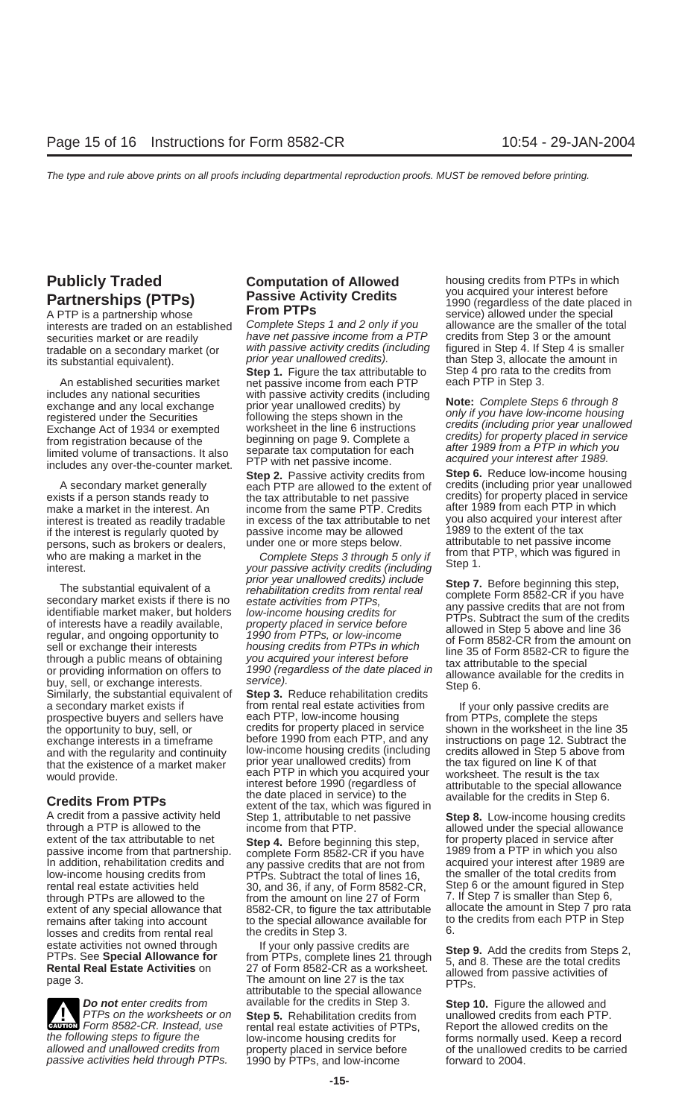A PTP is a partnership whose **FIGILETTS**<br>interests are traded on an established Complete Steps 1 and 2 only if you allowance are the smaller of the to

An established securities market net passive income from each PTP includes any national securities with passive activity credits (including includes any national securities with passive activity credits (including<br>exchange and any local exchange prior year unallowed credits) by **Note:** Complete Steps 6 through 8<br>registered under the Securities following the st registered under the Securities following the steps shown in the<br>
Exchange Act of 1934 or exempted worksheet in the line 6 instructions<br>
from registration because of the beginning on page 9. Complete a<br>
limited volume of t includes any over-the-counter market. PTP with net passive income.<br>Step 6. Reduce low-income housing

persons, such as brokers or dealers, under one or more steps below. attributable to net passive income persons, in the complete Steps 3 through 5 only if from that PTP, which was figured in

The substantial equivalent of a<br>secondary market exists if there is no<br>identifiable market exists if there is no<br>identifiable market maker, but holders low-income housing credits for<br>of interests have a readily available,<br>

A credit from a passive activity held Step 1, attributable to net passive **Step 8.** Low-income housing credits through a PTP is allowed to the income from that PTP.<br>
extent of the tax attributable to net Step 4. Before be passive income from that partnership. complete Form 8582-CR if you have 1<br>In addition, rehabilitation credits and any passive credits that are not from rental real estate activities held 30, and 36, if any, of Form 8582-CR,  $\frac{1}{100}$  through PTPs are allowed to the  $\frac{1}{100}$  from the amount on line 27 of Form losses and credits from rental real

passive activities held through PTPs.

interests are traded on an established Complete Steps 1 and 2 only if you allowance are the smaller of the total<br>securities market or are readily have net passive income from a PTP credits from Step 3 or the amount securities market or are readily have net passive income from a PTP<br>tradable on a secondary market (or with passive activity credits (including tradable on a secondary market (or with passive activity credits (including figured in Step 4. If Step 4 is smaller<br>its substantial equivalent) relationary prior year unallowed credits). The substantial equivalent in

**Step 1.** Figure the tax attributable to Step 4 pro rata to the net be created by net be created by net to the c

**Step 2.** Passive activity credits from **Step 6.** Reduce low-income housing ach PTP are allowed to the extent of credits (including prior year unallowed A secondary market generally each PTP are allowed to the extent of exists if a person stands ready to the tax attributable to net passive make a market in the interest. An income from the same PTP. Credits after 1989 from each PTP in which<br>interest is treated as readily tradable in excess of the tax attributable to net you also acquired your interest after interest is treated as readily tradable in excess of the tax attributable to net you also acquired your intere<br>if the interest is regularly guoted by passive income may be allowed 1989 to the extent of the tax if the interest is regularly quoted by passive income may be allowed 1989 to the extent of the tax<br>persons, such as brokers or dealers, under one or more steps below. The altributable to net passive income

who are making a market in the from that Complete Steps 3 through 5 only if  $\frac{1}{2}$  interest.<br>interest. your passive activity credits (including  $\frac{1}{2}$  on  $\frac{1}{2}$  interest.

a secondary market exists if from rental real estate activities from a large prospective buyers and sellers have each PTP, low-income housing from PTPs, complete the steps prospective buyers and sellers have each PTP, low-income housing from PTPs, complete the steps<br>the opportunity to buy, sell, or effectis for property placed in service shown in the worksheet in the li the opportunity to buy, sell, or credits for property placed in service shown in the worksheet in the line 35<br>exchange interests in a timeframe before 1990 from each PTP, and any instructions on page 12. Subtract the exchange interests in a timeframe before 1990 from each PTP, and any instructions on page 12. Subtract the<br>and with the requilarity and continuity low-income housing credits (including credits allowed in Step 5 above from and with the regularity and continuity<br>that the existence of a market maker<br>would provide.<br>the tax figured on line K of that<br>each PTP in which you acquired your<br>worksheet. The result is the tax<br>tis the tax<br>tis the tax each PTP in which you acquired your worksheet. The result is the tax<br>interest before 1990 (regardless of attributable to the special allowance meterst before 1990 (regardless of attributable to the special allowance<br> **Credits From PTPs** the date placed in service) to the available for the credits in Step 6.<br>
A credit from a passive activity held Step 1, attributa

extent of the tax attributable to net **Step 4.** Before beginning this step, for property placed in service after<br>passive income from that partnership, complete Form 8582-CR if you have 1989 from a PTP in which you also any passive credits that are not from acquired your interest after 1989 are<br>PTPs. Subtract the total of lines 16 the smaller of the total credits from low-income housing credits from PTPs. Subtract the total of lines 16, the smaller of the total credits from<br>
rental real estate activities held 30, and 36, if any, of Form 8582-CR. Step 6 or the amount figured in Step through PTPs are allowed to the from the amount on line 27 of Form 7. If Step 7 is smaller than Step 6, extent of any special allowance that 8582-CR, to figure the tax attributable allocate the amount in Step 7 pro remains after taking into account to the special allowance available for to to the credits in Step 3.

estate activities not owned through the set of the set of the set of the credits are<br>
PTPs. See **Special Allowance for** trom PTPs, complete lines 21 through the set of the credits from Steps 2,<br> **Rental Real Estate Activit Do not** enter credits from available for the credits in Step 3. **Step 10.** Figure the allowed and PTPs on the worksheets or on **Step 5.** Rehabilitation credits from unallowed credits from each PTP. Form 8582-CR. Instead, Form 8582-CR. Instead, use rental real estate activities of PTPs, Report the allowed credits from each PTP **EXECUTE:** Figure the allowed and **EXECUTE:** Form 8582-CR. Instead, use rental real estate activities of PTPs, Repo **ENDER FORM S582-CR.** Instead, use rental real estate activities of PTPs, Report the allowed credits on the the following steps to figure the low-income housing credits for forms normally used. Keep a record allowed and un

**Publicly Traded Computation of Allowed** housing credits from PTPs in which **PLACE COMPUTE COMPUTE CONCLUSTER** Number of **PLACE COMPUTE CONCLUSTER Partnerships (PTPs) Passive Activity Credits** you acquired your interest before **Partnerships (PTPs Prom PTPs** its substantial equivalent). prior year unallowed credits). than Step 3, allocate the amount in<br>Step 1. Figure the tax attributable to Step 4 pro rata to the credits from

credits) for property placed in service

allocate the amount in Step 7 pro rata<br>to the credits from each PTP in Step